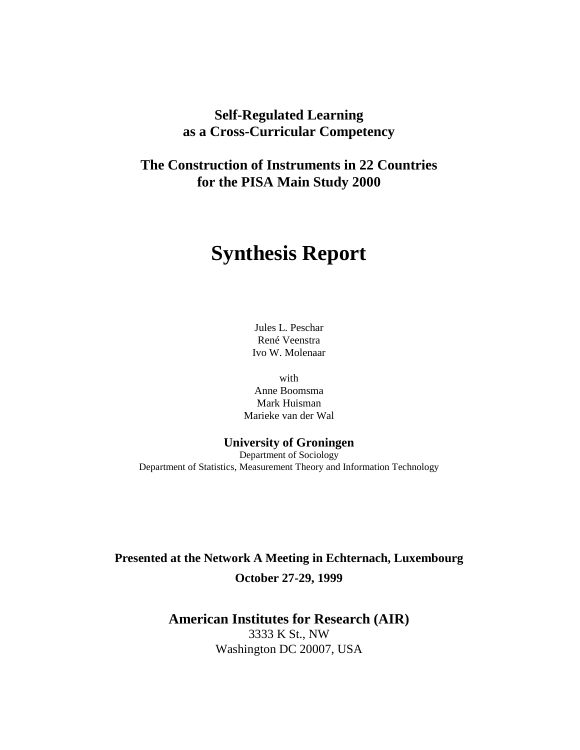# **Self-Regulated Learning as a Cross-Curricular Competency**

**The Construction of Instruments in 22 Countries for the PISA Main Study 2000** 

# **Synthesis Report**

Jules L. Peschar René Veenstra Ivo W. Molenaar

with Anne Boomsma Mark Huisman Marieke van der Wal

## **University of Groningen**

Department of Sociology Department of Statistics, Measurement Theory and Information Technology

# **Presented at the Network A Meeting in Echternach, Luxembourg October 27-29, 1999**

# **American Institutes for Research (AIR)**

3333 K St., NW Washington DC 20007, USA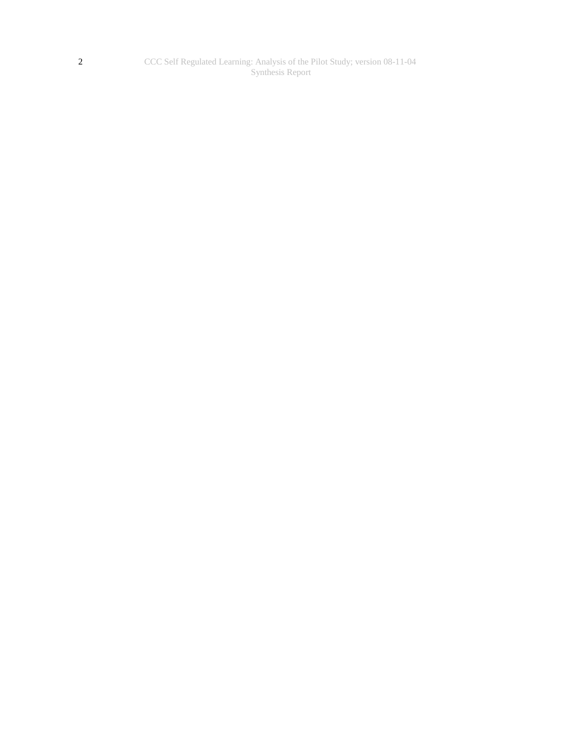2 **CCC Self Regulated Learning: Analysis of the Pilot Study; version 08-11-04** Synthesis Report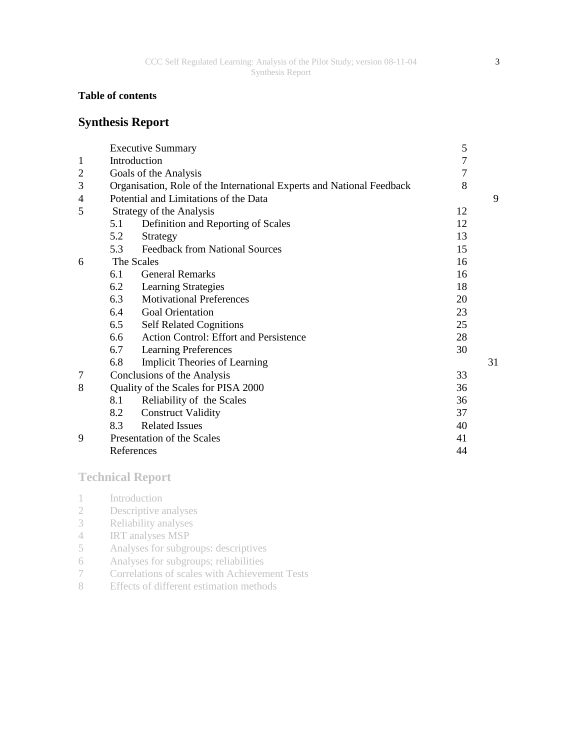# **Table of contents**

# **Synthesis Report**

|                |     | <b>Executive Summary</b>                                              | 5  |    |
|----------------|-----|-----------------------------------------------------------------------|----|----|
| 1              |     | Introduction                                                          | 7  |    |
| $\overline{2}$ |     | Goals of the Analysis                                                 | 7  |    |
| 3              |     | Organisation, Role of the International Experts and National Feedback | 8  |    |
| $\overline{4}$ |     | Potential and Limitations of the Data                                 |    | 9  |
| 5              |     | Strategy of the Analysis                                              | 12 |    |
|                | 5.1 | Definition and Reporting of Scales                                    | 12 |    |
|                | 5.2 | Strategy                                                              | 13 |    |
|                | 5.3 | <b>Feedback from National Sources</b>                                 | 15 |    |
| 6              |     | The Scales                                                            | 16 |    |
|                | 6.1 | <b>General Remarks</b>                                                | 16 |    |
|                | 6.2 | <b>Learning Strategies</b>                                            | 18 |    |
|                | 6.3 | <b>Motivational Preferences</b>                                       | 20 |    |
|                | 6.4 | <b>Goal Orientation</b>                                               | 23 |    |
|                | 6.5 | <b>Self Related Cognitions</b>                                        | 25 |    |
|                | 6.6 | Action Control: Effort and Persistence                                | 28 |    |
|                | 6.7 | <b>Learning Preferences</b>                                           | 30 |    |
|                | 6.8 | <b>Implicit Theories of Learning</b>                                  |    | 31 |
| 7              |     | Conclusions of the Analysis                                           | 33 |    |
| 8              |     | Quality of the Scales for PISA 2000                                   | 36 |    |
|                | 8.1 | Reliability of the Scales                                             | 36 |    |
|                | 8.2 | <b>Construct Validity</b>                                             | 37 |    |
|                | 8.3 | <b>Related Issues</b>                                                 | 40 |    |
| 9              |     | Presentation of the Scales                                            | 41 |    |
|                |     | References                                                            | 44 |    |

# **Technical Report**

- 1 Introduction
- 2 Descriptive analyses
- 3 Reliability analyses
- 4 IRT analyses MSP
- 5 Analyses for subgroups: descriptives
- 6 Analyses for subgroups; reliabilities
- 7 Correlations of scales with Achievement Tests
- 8 Effects of different estimation methods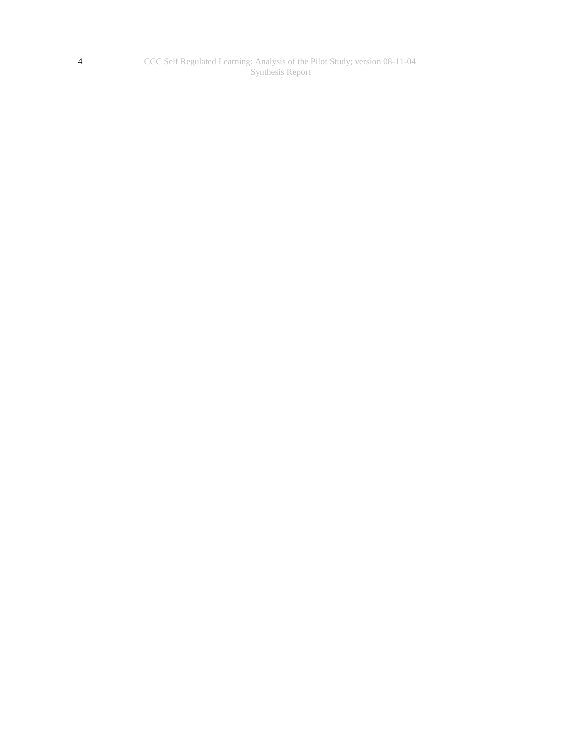4 CCC Self Regulated Learning: Analysis of the Pilot Study; version 08-11-04 Synthesis Report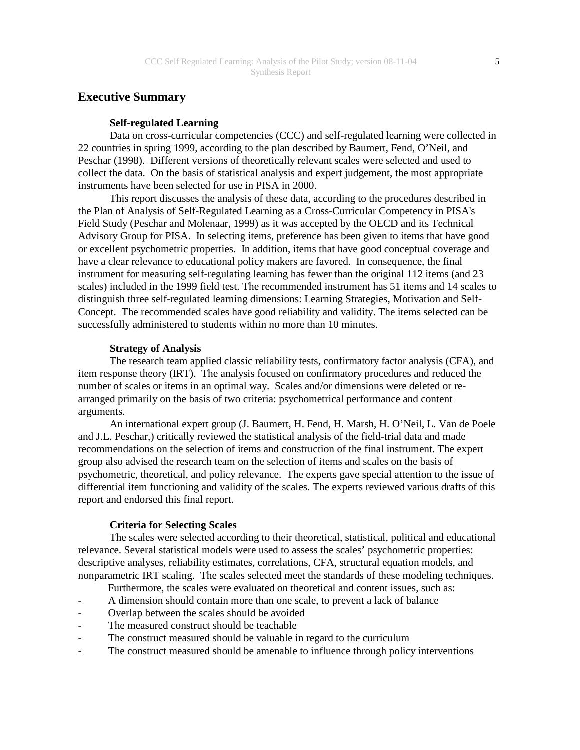## **Executive Summary**

#### **Self-regulated Learning**

Data on cross-curricular competencies (CCC) and self-regulated learning were collected in 22 countries in spring 1999, according to the plan described by Baumert, Fend, O'Neil, and Peschar (1998). Different versions of theoretically relevant scales were selected and used to collect the data. On the basis of statistical analysis and expert judgement, the most appropriate instruments have been selected for use in PISA in 2000.

This report discusses the analysis of these data, according to the procedures described in the Plan of Analysis of Self-Regulated Learning as a Cross-Curricular Competency in PISA's Field Study (Peschar and Molenaar, 1999) as it was accepted by the OECD and its Technical Advisory Group for PISA. In selecting items, preference has been given to items that have good or excellent psychometric properties. In addition, items that have good conceptual coverage and have a clear relevance to educational policy makers are favored. In consequence, the final instrument for measuring self-regulating learning has fewer than the original 112 items (and 23 scales) included in the 1999 field test. The recommended instrument has 51 items and 14 scales to distinguish three self-regulated learning dimensions: Learning Strategies, Motivation and Self-Concept. The recommended scales have good reliability and validity. The items selected can be successfully administered to students within no more than 10 minutes.

#### **Strategy of Analysis**

The research team applied classic reliability tests, confirmatory factor analysis (CFA), and item response theory (IRT). The analysis focused on confirmatory procedures and reduced the number of scales or items in an optimal way. Scales and/or dimensions were deleted or rearranged primarily on the basis of two criteria: psychometrical performance and content arguments.

An international expert group (J. Baumert, H. Fend, H. Marsh, H. O'Neil, L. Van de Poele and J.L. Peschar,) critically reviewed the statistical analysis of the field-trial data and made recommendations on the selection of items and construction of the final instrument. The expert group also advised the research team on the selection of items and scales on the basis of psychometric, theoretical, and policy relevance. The experts gave special attention to the issue of differential item functioning and validity of the scales. The experts reviewed various drafts of this report and endorsed this final report.

#### **Criteria for Selecting Scales**

The scales were selected according to their theoretical, statistical, political and educational relevance. Several statistical models were used to assess the scales' psychometric properties: descriptive analyses, reliability estimates, correlations, CFA, structural equation models, and nonparametric IRT scaling. The scales selected meet the standards of these modeling techniques.

Furthermore, the scales were evaluated on theoretical and content issues, such as:

- A dimension should contain more than one scale, to prevent a lack of balance
- Overlap between the scales should be avoided
- The measured construct should be teachable
- The construct measured should be valuable in regard to the curriculum
- The construct measured should be amenable to influence through policy interventions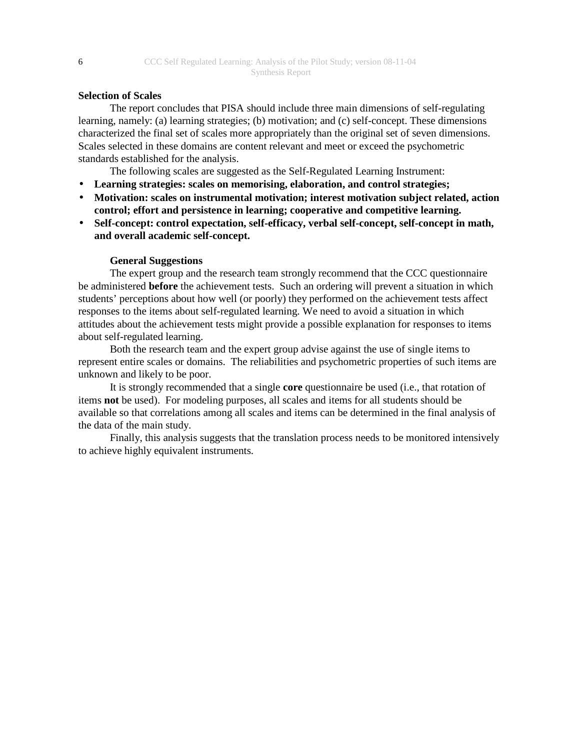#### **Selection of Scales**

The report concludes that PISA should include three main dimensions of self-regulating learning, namely: (a) learning strategies; (b) motivation; and (c) self-concept. These dimensions characterized the final set of scales more appropriately than the original set of seven dimensions. Scales selected in these domains are content relevant and meet or exceed the psychometric standards established for the analysis.

The following scales are suggested as the Self-Regulated Learning Instrument:

- **Learning strategies: scales on memorising, elaboration, and control strategies;**
- **Motivation: scales on instrumental motivation; interest motivation subject related, action control; effort and persistence in learning; cooperative and competitive learning.**
- **Self-concept: control expectation, self-efficacy, verbal self-concept, self-concept in math, and overall academic self-concept.**

#### **General Suggestions**

The expert group and the research team strongly recommend that the CCC questionnaire be administered **before** the achievement tests. Such an ordering will prevent a situation in which students' perceptions about how well (or poorly) they performed on the achievement tests affect responses to the items about self-regulated learning. We need to avoid a situation in which attitudes about the achievement tests might provide a possible explanation for responses to items about self-regulated learning.

Both the research team and the expert group advise against the use of single items to represent entire scales or domains. The reliabilities and psychometric properties of such items are unknown and likely to be poor.

It is strongly recommended that a single **core** questionnaire be used (i.e., that rotation of items **not** be used). For modeling purposes, all scales and items for all students should be available so that correlations among all scales and items can be determined in the final analysis of the data of the main study.

Finally, this analysis suggests that the translation process needs to be monitored intensively to achieve highly equivalent instruments.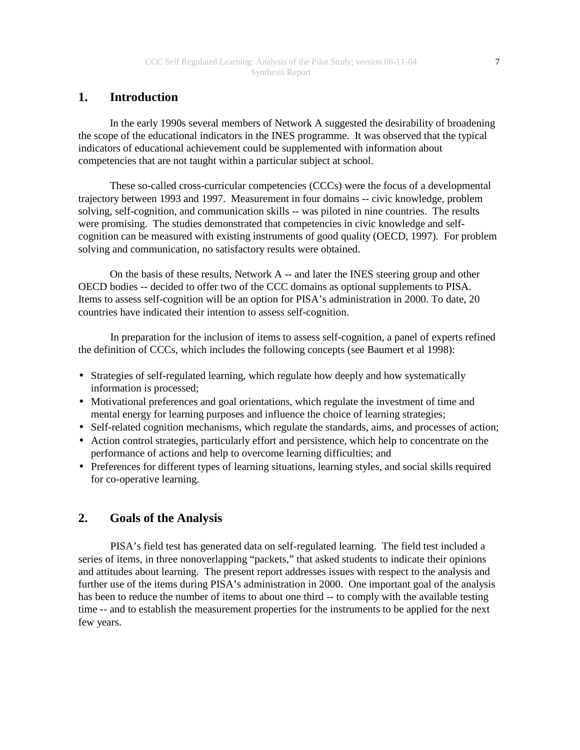# **1. Introduction**

In the early 1990s several members of Network A suggested the desirability of broadening the scope of the educational indicators in the INES programme. It was observed that the typical indicators of educational achievement could be supplemented with information about competencies that are not taught within a particular subject at school.

These so-called cross-curricular competencies (CCCs) were the focus of a developmental trajectory between 1993 and 1997. Measurement in four domains -- civic knowledge, problem solving, self-cognition, and communication skills -- was piloted in nine countries. The results were promising. The studies demonstrated that competencies in civic knowledge and selfcognition can be measured with existing instruments of good quality (OECD, 1997). For problem solving and communication, no satisfactory results were obtained.

On the basis of these results, Network A -- and later the INES steering group and other OECD bodies -- decided to offer two of the CCC domains as optional supplements to PISA. Items to assess self-cognition will be an option for PISA's administration in 2000. To date, 20 countries have indicated their intention to assess self-cognition.

In preparation for the inclusion of items to assess self-cognition, a panel of experts refined the definition of CCCs, which includes the following concepts (see Baumert et al 1998):

- Strategies of self-regulated learning, which regulate how deeply and how systematically information is processed;
- Motivational preferences and goal orientations, which regulate the investment of time and mental energy for learning purposes and influence the choice of learning strategies;
- Self-related cognition mechanisms, which regulate the standards, aims, and processes of action;
- Action control strategies, particularly effort and persistence, which help to concentrate on the performance of actions and help to overcome learning difficulties; and
- Preferences for different types of learning situations, learning styles, and social skills required for co-operative learning.

# **2. Goals of the Analysis**

PISA's field test has generated data on self-regulated learning. The field test included a series of items, in three nonoverlapping "packets," that asked students to indicate their opinions and attitudes about learning. The present report addresses issues with respect to the analysis and further use of the items during PISA's administration in 2000. One important goal of the analysis has been to reduce the number of items to about one third -- to comply with the available testing time -- and to establish the measurement properties for the instruments to be applied for the next few years.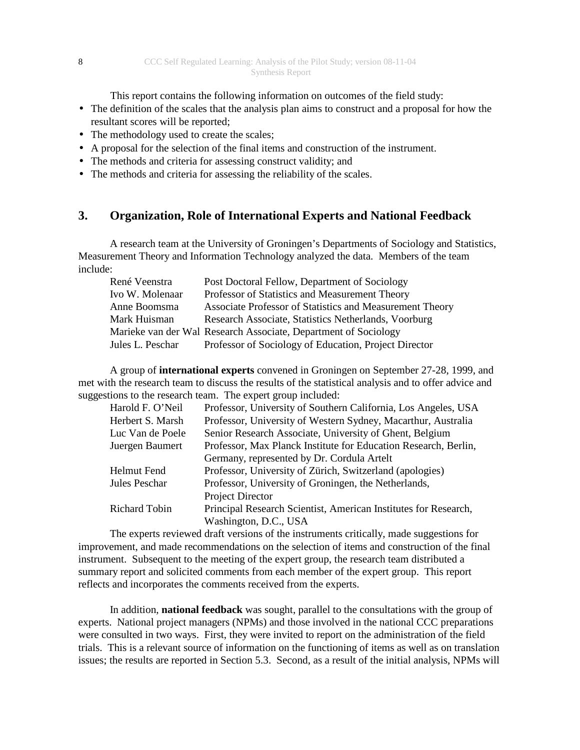This report contains the following information on outcomes of the field study:

- The definition of the scales that the analysis plan aims to construct and a proposal for how the resultant scores will be reported;
- The methodology used to create the scales;
- A proposal for the selection of the final items and construction of the instrument.
- The methods and criteria for assessing construct validity; and
- The methods and criteria for assessing the reliability of the scales.

# **3. Organization, Role of International Experts and National Feedback**

A research team at the University of Groningen's Departments of Sociology and Statistics, Measurement Theory and Information Technology analyzed the data. Members of the team include:

| René Veenstra    | Post Doctoral Fellow, Department of Sociology                   |
|------------------|-----------------------------------------------------------------|
| Ivo W. Molenaar  | Professor of Statistics and Measurement Theory                  |
| Anne Boomsma     | Associate Professor of Statistics and Measurement Theory        |
| Mark Huisman     | Research Associate, Statistics Netherlands, Voorburg            |
|                  | Marieke van der Wal Research Associate, Department of Sociology |
| Jules L. Peschar | Professor of Sociology of Education, Project Director           |

A group of **international experts** convened in Groningen on September 27-28, 1999, and met with the research team to discuss the results of the statistical analysis and to offer advice and suggestions to the research team. The expert group included:

| Harold F. O'Neil     | Professor, University of Southern California, Los Angeles, USA  |
|----------------------|-----------------------------------------------------------------|
| Herbert S. Marsh     | Professor, University of Western Sydney, Macarthur, Australia   |
| Luc Van de Poele     | Senior Research Associate, University of Ghent, Belgium         |
| Juergen Baumert      | Professor, Max Planck Institute for Education Research, Berlin, |
|                      | Germany, represented by Dr. Cordula Artelt                      |
| Helmut Fend          | Professor, University of Zürich, Switzerland (apologies)        |
| Jules Peschar        | Professor, University of Groningen, the Netherlands,            |
|                      | <b>Project Director</b>                                         |
| <b>Richard Tobin</b> | Principal Research Scientist, American Institutes for Research, |
|                      | Washington, D.C., USA                                           |
|                      |                                                                 |

The experts reviewed draft versions of the instruments critically, made suggestions for improvement, and made recommendations on the selection of items and construction of the final instrument. Subsequent to the meeting of the expert group, the research team distributed a summary report and solicited comments from each member of the expert group. This report reflects and incorporates the comments received from the experts.

In addition, **national feedback** was sought, parallel to the consultations with the group of experts. National project managers (NPMs) and those involved in the national CCC preparations were consulted in two ways. First, they were invited to report on the administration of the field trials. This is a relevant source of information on the functioning of items as well as on translation issues; the results are reported in Section 5.3. Second, as a result of the initial analysis, NPMs will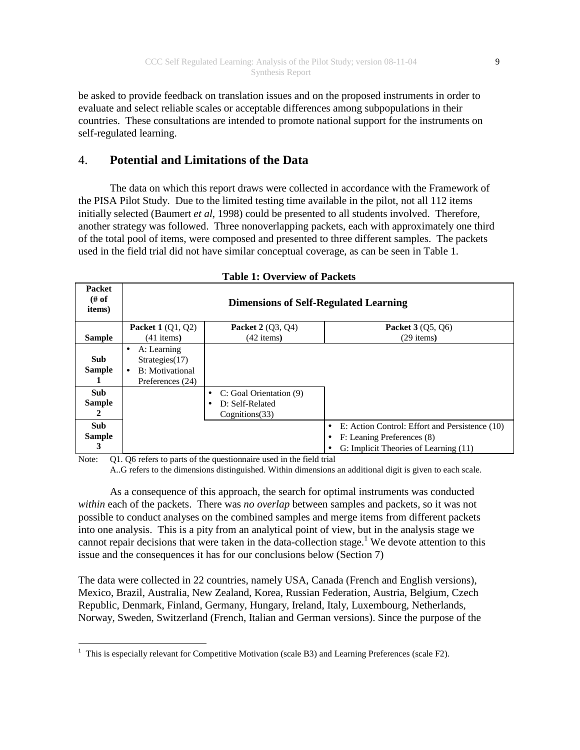be asked to provide feedback on translation issues and on the proposed instruments in order to evaluate and select reliable scales or acceptable differences among subpopulations in their countries. These consultations are intended to promote national support for the instruments on self-regulated learning.

# 4. **Potential and Limitations of the Data**

The data on which this report draws were collected in accordance with the Framework of the PISA Pilot Study. Due to the limited testing time available in the pilot, not all 112 items initially selected (Baumert *et al*, 1998) could be presented to all students involved. Therefore, another strategy was followed. Three nonoverlapping packets, each with approximately one third of the total pool of items, were composed and presented to three different samples. The packets used in the field trial did not have similar conceptual coverage, as can be seen in Table 1.

| <b>Packet</b><br># of<br>items) |                                                                                    | <b>Dimensions of Self-Regulated Learning</b> |                                                |  |
|---------------------------------|------------------------------------------------------------------------------------|----------------------------------------------|------------------------------------------------|--|
|                                 | <b>Packet 1 (Q1, Q2)</b><br><b>Packet 2 (Q3, Q4)</b><br><b>Packet 3 (Q5, Q6)</b>   |                                              |                                                |  |
| <b>Sample</b>                   | $(41$ items)                                                                       | $(42$ items)                                 | $(29$ items)                                   |  |
| Sub<br><b>Sample</b>            | A: Learning<br>$\bullet$<br>Strategyies(17)<br>B: Motivational<br>Preferences (24) |                                              |                                                |  |
| <b>Sub</b>                      |                                                                                    | C: Goal Orientation (9)<br>$\bullet$         |                                                |  |
| <b>Sample</b>                   |                                                                                    | D: Self-Related                              |                                                |  |
| 2                               |                                                                                    | Cognitions(33)                               |                                                |  |
| <b>Sub</b>                      |                                                                                    |                                              | E: Action Control: Effort and Persistence (10) |  |
| <b>Sample</b>                   |                                                                                    |                                              | F: Leaning Preferences (8)                     |  |
| 3                               |                                                                                    |                                              | G: Implicit Theories of Learning (11)          |  |

#### **Table 1: Overview of Packets**

Note: Q1. Q6 refers to parts of the questionnaire used in the field trial

A..G refers to the dimensions distinguished. Within dimensions an additional digit is given to each scale.

As a consequence of this approach, the search for optimal instruments was conducted *within* each of the packets. There was *no overlap* between samples and packets, so it was not possible to conduct analyses on the combined samples and merge items from different packets into one analysis. This is a pity from an analytical point of view, but in the analysis stage we cannot repair decisions that were taken in the data-collection stage.<sup>1</sup> We devote attention to this issue and the consequences it has for our conclusions below (Section 7)

The data were collected in 22 countries, namely USA, Canada (French and English versions), Mexico, Brazil, Australia, New Zealand, Korea, Russian Federation, Austria, Belgium, Czech Republic, Denmark, Finland, Germany, Hungary, Ireland, Italy, Luxembourg, Netherlands, Norway, Sweden, Switzerland (French, Italian and German versions). Since the purpose of the

 $\overline{a}$ <sup>1</sup> This is especially relevant for Competitive Motivation (scale B3) and Learning Preferences (scale F2).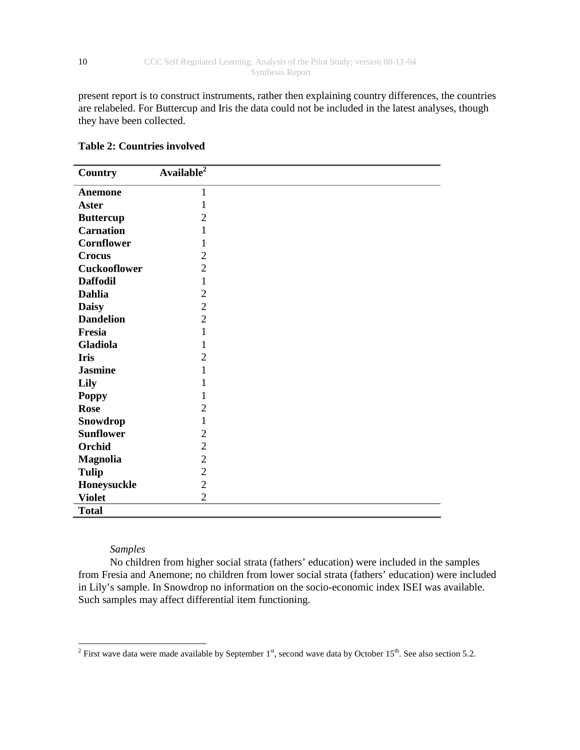present report is to construct instruments, rather then explaining country differences, the countries are relabeled. For Buttercup and Iris the data could not be included in the latest analyses, though they have been collected.

| <b>Country</b>      | Available $\overline{e^2}$ |  |
|---------------------|----------------------------|--|
| <b>Anemone</b>      | $\mathbf{1}$               |  |
| <b>Aster</b>        | 1                          |  |
| <b>Buttercup</b>    | $\overline{2}$             |  |
| <b>Carnation</b>    | 1                          |  |
| <b>Cornflower</b>   | 1                          |  |
| <b>Crocus</b>       | 2                          |  |
| <b>Cuckooflower</b> | $\overline{2}$             |  |
| <b>Daffodil</b>     | $\mathbf{1}$               |  |
| <b>Dahlia</b>       | $\overline{2}$             |  |
| <b>Daisy</b>        | $\overline{c}$             |  |
| <b>Dandelion</b>    | $\overline{2}$             |  |
| Fresia              | $\mathbf{1}$               |  |
| <b>Gladiola</b>     | 1                          |  |
| <b>Iris</b>         | $\overline{2}$             |  |
| <b>Jasmine</b>      | 1                          |  |
| Lily                | 1                          |  |
| <b>Poppy</b>        | 1                          |  |
| <b>Rose</b>         | $\overline{2}$             |  |
| Snowdrop            | $\mathbf{1}$               |  |
| <b>Sunflower</b>    | $\overline{c}$             |  |
| Orchid              | $\overline{c}$             |  |
| <b>Magnolia</b>     | $\overline{2}$             |  |
| <b>Tulip</b>        | $\overline{2}$             |  |
| Honeysuckle         | $\overline{2}$             |  |
| <b>Violet</b>       | $\overline{2}$             |  |
| <b>Total</b>        |                            |  |

**Table 2: Countries involved** 

#### *Samples*

 No children from higher social strata (fathers' education) were included in the samples from Fresia and Anemone; no children from lower social strata (fathers' education) were included in Lily's sample. In Snowdrop no information on the socio-economic index ISEI was available. Such samples may affect differential item functioning.

<sup>&</sup>lt;sup>2</sup> First wave data were made available by September 1<sup>st</sup>, second wave data by October 15<sup>th</sup>. See also section 5.2.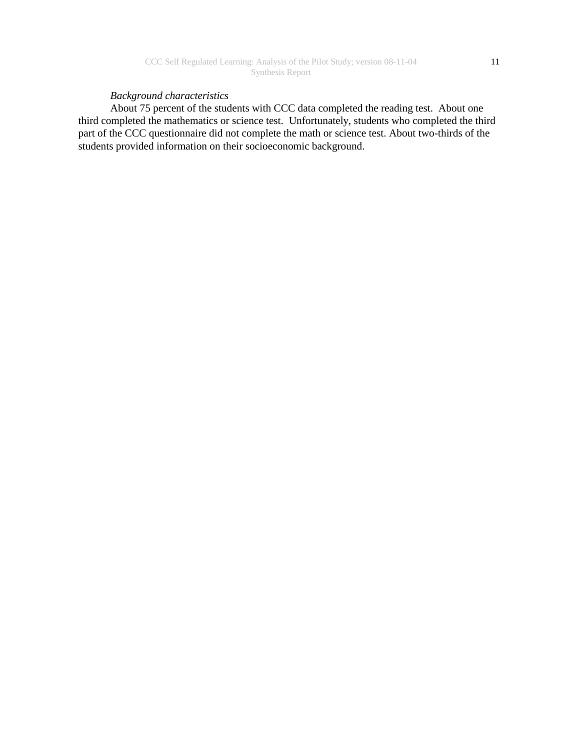#### *Background characteristics*

About 75 percent of the students with CCC data completed the reading test. About one third completed the mathematics or science test. Unfortunately, students who completed the third part of the CCC questionnaire did not complete the math or science test. About two-thirds of the students provided information on their socioeconomic background.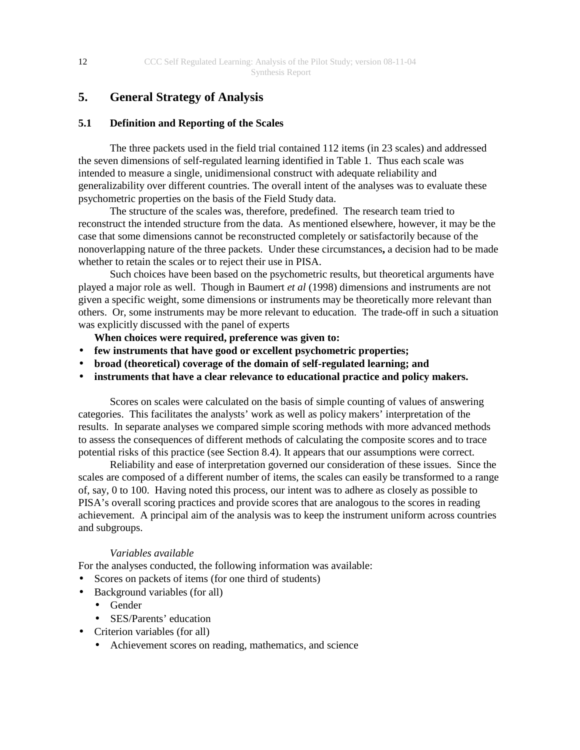# **5. General Strategy of Analysis**

#### **5.1 Definition and Reporting of the Scales**

The three packets used in the field trial contained 112 items (in 23 scales) and addressed the seven dimensions of self-regulated learning identified in Table 1. Thus each scale was intended to measure a single, unidimensional construct with adequate reliability and generalizability over different countries. The overall intent of the analyses was to evaluate these psychometric properties on the basis of the Field Study data.

The structure of the scales was, therefore, predefined. The research team tried to reconstruct the intended structure from the data. As mentioned elsewhere, however, it may be the case that some dimensions cannot be reconstructed completely or satisfactorily because of the nonoverlapping nature of the three packets. Under these circumstances**,** a decision had to be made whether to retain the scales or to reject their use in PISA.

Such choices have been based on the psychometric results, but theoretical arguments have played a major role as well. Though in Baumert *et al* (1998) dimensions and instruments are not given a specific weight, some dimensions or instruments may be theoretically more relevant than others. Or, some instruments may be more relevant to education. The trade-off in such a situation was explicitly discussed with the panel of experts

**When choices were required, preference was given to:** 

- **few instruments that have good or excellent psychometric properties;**
- **broad (theoretical) coverage of the domain of self-regulated learning; and**
- **instruments that have a clear relevance to educational practice and policy makers.**

Scores on scales were calculated on the basis of simple counting of values of answering categories. This facilitates the analysts' work as well as policy makers' interpretation of the results. In separate analyses we compared simple scoring methods with more advanced methods to assess the consequences of different methods of calculating the composite scores and to trace potential risks of this practice (see Section 8.4). It appears that our assumptions were correct.

Reliability and ease of interpretation governed our consideration of these issues. Since the scales are composed of a different number of items, the scales can easily be transformed to a range of, say, 0 to 100. Having noted this process, our intent was to adhere as closely as possible to PISA's overall scoring practices and provide scores that are analogous to the scores in reading achievement. A principal aim of the analysis was to keep the instrument uniform across countries and subgroups.

#### *Variables available*

For the analyses conducted, the following information was available:

- Scores on packets of items (for one third of students)
- Background variables (for all)
	- Gender
	- SES/Parents' education
- Criterion variables (for all)
	- Achievement scores on reading, mathematics, and science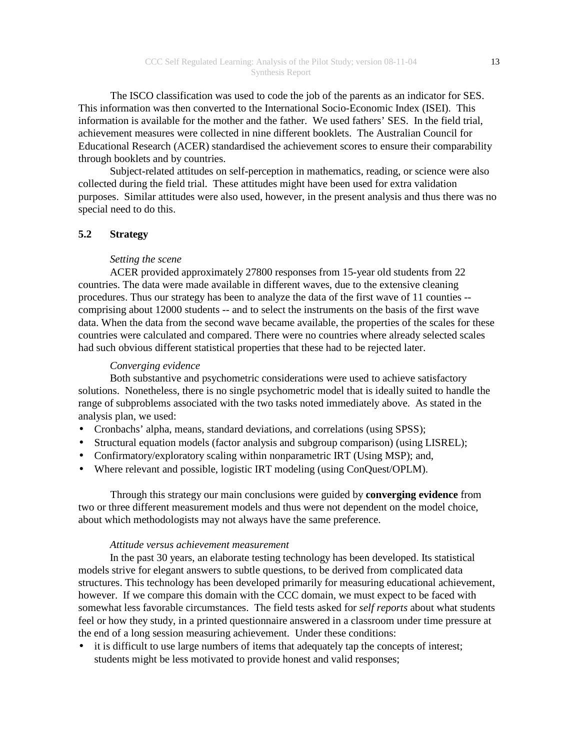The ISCO classification was used to code the job of the parents as an indicator for SES. This information was then converted to the International Socio-Economic Index (ISEI). This information is available for the mother and the father. We used fathers' SES. In the field trial, achievement measures were collected in nine different booklets. The Australian Council for Educational Research (ACER) standardised the achievement scores to ensure their comparability through booklets and by countries.

Subject-related attitudes on self-perception in mathematics, reading, or science were also collected during the field trial. These attitudes might have been used for extra validation purposes. Similar attitudes were also used, however, in the present analysis and thus there was no special need to do this.

### **5.2 Strategy**

#### *Setting the scene*

ACER provided approximately 27800 responses from 15-year old students from 22 countries. The data were made available in different waves, due to the extensive cleaning procedures. Thus our strategy has been to analyze the data of the first wave of 11 counties - comprising about 12000 students -- and to select the instruments on the basis of the first wave data. When the data from the second wave became available, the properties of the scales for these countries were calculated and compared. There were no countries where already selected scales had such obvious different statistical properties that these had to be rejected later.

#### *Converging evidence*

Both substantive and psychometric considerations were used to achieve satisfactory solutions. Nonetheless, there is no single psychometric model that is ideally suited to handle the range of subproblems associated with the two tasks noted immediately above. As stated in the analysis plan, we used:

- Cronbachs' alpha, means, standard deviations, and correlations (using SPSS);
- Structural equation models (factor analysis and subgroup comparison) (using LISREL);
- Confirmatory/exploratory scaling within nonparametric IRT (Using MSP); and,
- Where relevant and possible, logistic IRT modeling (using ConQuest/OPLM).

Through this strategy our main conclusions were guided by **converging evidence** from two or three different measurement models and thus were not dependent on the model choice, about which methodologists may not always have the same preference.

#### *Attitude versus achievement measurement*

In the past 30 years, an elaborate testing technology has been developed. Its statistical models strive for elegant answers to subtle questions, to be derived from complicated data structures. This technology has been developed primarily for measuring educational achievement, however. If we compare this domain with the CCC domain, we must expect to be faced with somewhat less favorable circumstances. The field tests asked for *self reports* about what students feel or how they study, in a printed questionnaire answered in a classroom under time pressure at the end of a long session measuring achievement. Under these conditions:

• it is difficult to use large numbers of items that adequately tap the concepts of interest; students might be less motivated to provide honest and valid responses;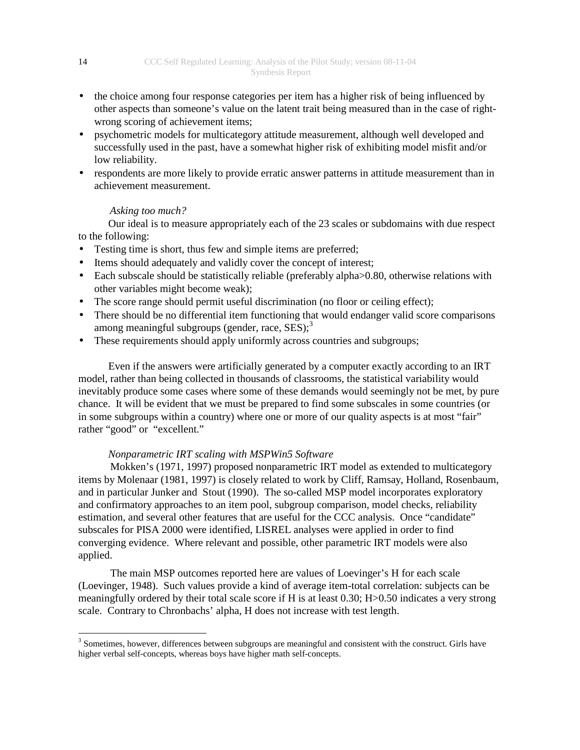- the choice among four response categories per item has a higher risk of being influenced by other aspects than someone's value on the latent trait being measured than in the case of rightwrong scoring of achievement items;
- psychometric models for multicategory attitude measurement, although well developed and successfully used in the past, have a somewhat higher risk of exhibiting model misfit and/or low reliability.
- respondents are more likely to provide erratic answer patterns in attitude measurement than in achievement measurement.

#### *Asking too much?*

Our ideal is to measure appropriately each of the 23 scales or subdomains with due respect to the following:

- Testing time is short, thus few and simple items are preferred;
- Items should adequately and validly cover the concept of interest;
- Each subscale should be statistically reliable (preferably alpha $> 0.80$ , otherwise relations with other variables might become weak);
- The score range should permit useful discrimination (no floor or ceiling effect);
- There should be no differential item functioning that would endanger valid score comparisons among meaningful subgroups (gender, race,  $SES$ );<sup>3</sup>
- These requirements should apply uniformly across countries and subgroups;

Even if the answers were artificially generated by a computer exactly according to an IRT model, rather than being collected in thousands of classrooms, the statistical variability would inevitably produce some cases where some of these demands would seemingly not be met, by pure chance. It will be evident that we must be prepared to find some subscales in some countries (or in some subgroups within a country) where one or more of our quality aspects is at most "fair" rather "good" or "excellent."

#### *Nonparametric IRT scaling with MSPWin5 Software*

Mokken's (1971, 1997) proposed nonparametric IRT model as extended to multicategory items by Molenaar (1981, 1997) is closely related to work by Cliff, Ramsay, Holland, Rosenbaum, and in particular Junker and Stout (1990). The so-called MSP model incorporates exploratory and confirmatory approaches to an item pool, subgroup comparison, model checks, reliability estimation, and several other features that are useful for the CCC analysis. Once "candidate" subscales for PISA 2000 were identified, LISREL analyses were applied in order to find converging evidence. Where relevant and possible, other parametric IRT models were also applied.

The main MSP outcomes reported here are values of Loevinger's H for each scale (Loevinger, 1948). Such values provide a kind of average item-total correlation: subjects can be meaningfully ordered by their total scale score if H is at least 0.30; H>0.50 indicates a very strong scale. Contrary to Chronbachs' alpha, H does not increase with test length.

 $\overline{a}$  $3$  Sometimes, however, differences between subgroups are meaningful and consistent with the construct. Girls have higher verbal self-concepts, whereas boys have higher math self-concepts.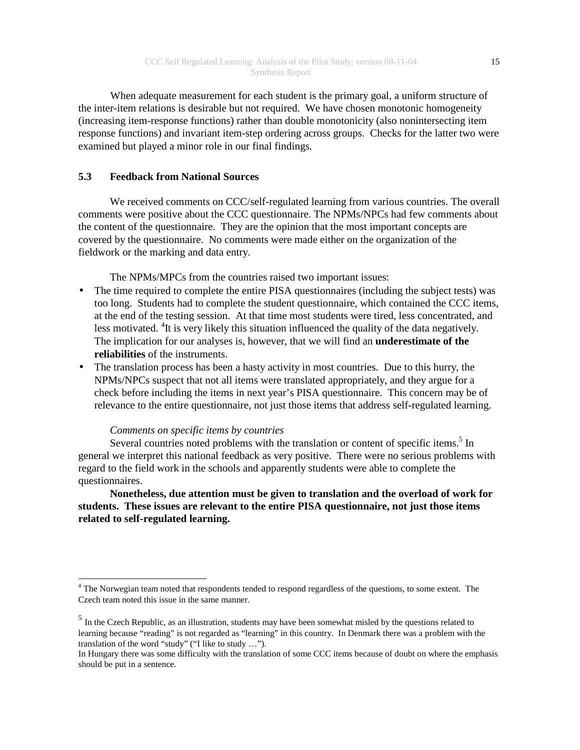When adequate measurement for each student is the primary goal, a uniform structure of the inter-item relations is desirable but not required. We have chosen monotonic homogeneity (increasing item-response functions) rather than double monotonicity (also nonintersecting item response functions) and invariant item-step ordering across groups. Checks for the latter two were examined but played a minor role in our final findings.

#### **5.3 Feedback from National Sources**

We received comments on CCC/self-regulated learning from various countries. The overall comments were positive about the CCC questionnaire. The NPMs/NPCs had few comments about the content of the questionnaire. They are the opinion that the most important concepts are covered by the questionnaire. No comments were made either on the organization of the fieldwork or the marking and data entry.

The NPMs/MPCs from the countries raised two important issues:

- The time required to complete the entire PISA questionnaires (including the subject tests) was too long. Students had to complete the student questionnaire, which contained the CCC items, at the end of the testing session. At that time most students were tired, less concentrated, and less motivated. <sup>4</sup>It is very likely this situation influenced the quality of the data negatively. The implication for our analyses is, however, that we will find an **underestimate of the reliabilities** of the instruments.
- The translation process has been a hasty activity in most countries. Due to this hurry, the NPMs/NPCs suspect that not all items were translated appropriately, and they argue for a check before including the items in next year's PISA questionnaire. This concern may be of relevance to the entire questionnaire, not just those items that address self-regulated learning.

#### *Comments on specific items by countries*

Several countries noted problems with the translation or content of specific items.<sup>5</sup> In general we interpret this national feedback as very positive. There were no serious problems with regard to the field work in the schools and apparently students were able to complete the questionnaires.

**Nonetheless, due attention must be given to translation and the overload of work for students. These issues are relevant to the entire PISA questionnaire, not just those items related to self-regulated learning.** 

<sup>&</sup>lt;sup>4</sup> The Norwegian team noted that respondents tended to respond regardless of the questions, to some extent. The Czech team noted this issue in the same manner.

<sup>&</sup>lt;sup>5</sup> In the Czech Republic, as an illustration, students may have been somewhat misled by the questions related to learning because "reading" is not regarded as "learning" in this country. In Denmark there was a problem with the translation of the word "study" ("I like to study …").

In Hungary there was some difficulty with the translation of some CCC items because of doubt on where the emphasis should be put in a sentence.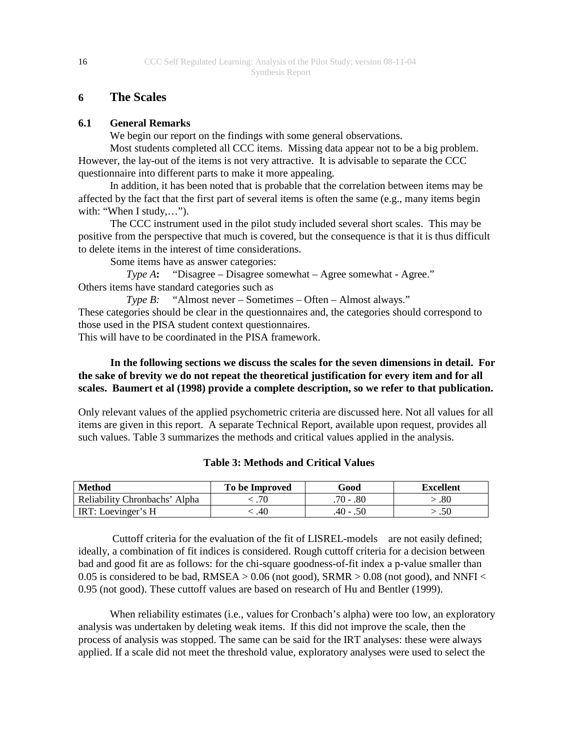# **6 The Scales**

#### **6.1 General Remarks**

We begin our report on the findings with some general observations.

Most students completed all CCC items. Missing data appear not to be a big problem. However, the lay-out of the items is not very attractive. It is advisable to separate the CCC questionnaire into different parts to make it more appealing.

In addition, it has been noted that is probable that the correlation between items may be affected by the fact that the first part of several items is often the same (e.g., many items begin with: "When I study,...").

 The CCC instrument used in the pilot study included several short scales. This may be positive from the perspective that much is covered, but the consequence is that it is thus difficult to delete items in the interest of time considerations.

Some items have as answer categories:

*Type A*: "Disagree – Disagree somewhat – Agree somewhat - Agree." Others items have standard categories such as

*Type B:* "Almost never – Sometimes – Often – Almost always."

These categories should be clear in the questionnaires and, the categories should correspond to those used in the PISA student context questionnaires.

This will have to be coordinated in the PISA framework.

#### **In the following sections we discuss the scales for the seven dimensions in detail. For the sake of brevity we do not repeat the theoretical justification for every item and for all scales. Baumert et al (1998) provide a complete description, so we refer to that publication.**

Only relevant values of the applied psychometric criteria are discussed here. Not all values for all items are given in this report. A separate Technical Report, available upon request, provides all such values. Table 3 summarizes the methods and critical values applied in the analysis.

| <b>Method</b>                 | To be Improved | Good        | <b>Excellent</b> |
|-------------------------------|----------------|-------------|------------------|
| Reliability Chronbachs' Alpha | 70             | 70 -<br>.80 | .80              |
| IRT: Loevinger's H            | .40            | .40 -       | .50              |

**Table 3: Methods and Critical Values** 

 Cuttoff criteria for the evaluation of the fit of LISREL-models are not easily defined; ideally, a combination of fit indices is considered. Rough cuttoff criteria for a decision between bad and good fit are as follows: for the chi-square goodness-of-fit index a p-value smaller than 0.05 is considered to be bad,  $RMSEA > 0.06$  (not good),  $SRMR > 0.08$  (not good), and NNFI < 0.95 (not good). These cuttoff values are based on research of Hu and Bentler (1999).

When reliability estimates (i.e., values for Cronbach's alpha) were too low, an exploratory analysis was undertaken by deleting weak items. If this did not improve the scale, then the process of analysis was stopped. The same can be said for the IRT analyses: these were always applied. If a scale did not meet the threshold value, exploratory analyses were used to select the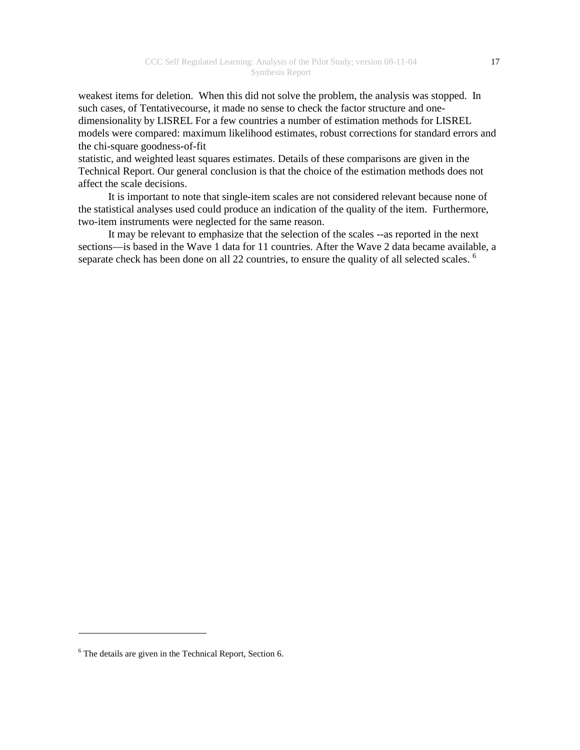weakest items for deletion. When this did not solve the problem, the analysis was stopped. In such cases, of Tentativecourse, it made no sense to check the factor structure and onedimensionality by LISREL For a few countries a number of estimation methods for LISREL models were compared: maximum likelihood estimates, robust corrections for standard errors and the chi-square goodness-of-fit

statistic, and weighted least squares estimates. Details of these comparisons are given in the Technical Report. Our general conclusion is that the choice of the estimation methods does not affect the scale decisions.

It is important to note that single-item scales are not considered relevant because none of the statistical analyses used could produce an indication of the quality of the item. Furthermore, two-item instruments were neglected for the same reason.

It may be relevant to emphasize that the selection of the scales --as reported in the next sections—is based in the Wave 1 data for 11 countries. After the Wave 2 data became available, a separate check has been done on all 22 countries, to ensure the quality of all selected scales. <sup>6</sup>

 $\overline{a}$ 

<sup>&</sup>lt;sup>6</sup> The details are given in the Technical Report, Section 6.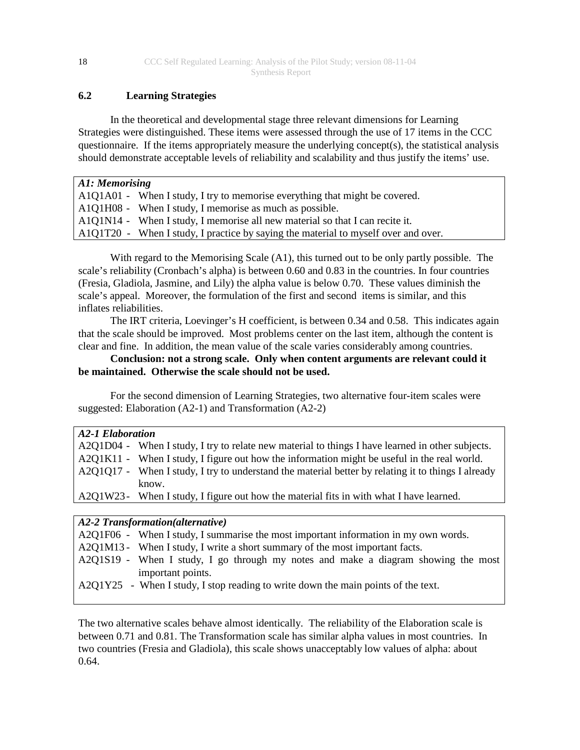#### 18 CCC Self Regulated Learning: Analysis of the Pilot Study; version 08-11-04 Synthesis Report

#### **6.2 Learning Strategies**

In the theoretical and developmental stage three relevant dimensions for Learning Strategies were distinguished. These items were assessed through the use of 17 items in the CCC questionnaire. If the items appropriately measure the underlying concept(s), the statistical analysis should demonstrate acceptable levels of reliability and scalability and thus justify the items' use.

| A1: Memorising                                                                       |  |
|--------------------------------------------------------------------------------------|--|
| A1Q1A01 - When I study, I try to memorise everything that might be covered.          |  |
| A1Q1H08 - When I study, I memorise as much as possible.                              |  |
| $\Delta 1Q1N14$ - When I study, I memorise all new material so that I can recite it. |  |
| A1Q1T20 - When I study, I practice by saying the material to myself over and over.   |  |

With regard to the Memorising Scale (A1), this turned out to be only partly possible. The scale's reliability (Cronbach's alpha) is between 0.60 and 0.83 in the countries. In four countries (Fresia, Gladiola, Jasmine, and Lily) the alpha value is below 0.70. These values diminish the scale's appeal. Moreover, the formulation of the first and second items is similar, and this inflates reliabilities.

 The IRT criteria, Loevinger's H coefficient, is between 0.34 and 0.58. This indicates again that the scale should be improved. Most problems center on the last item, although the content is clear and fine. In addition, the mean value of the scale varies considerably among countries.

#### **Conclusion: not a strong scale. Only when content arguments are relevant could it be maintained. Otherwise the scale should not be used.**

For the second dimension of Learning Strategies, two alternative four-item scales were suggested: Elaboration (A2-1) and Transformation (A2-2)

| <b>A2-1 Elaboration</b> |                                                                                                    |
|-------------------------|----------------------------------------------------------------------------------------------------|
|                         | A2Q1D04 - When I study, I try to relate new material to things I have learned in other subjects.   |
|                         | $A2Q1K11$ - When I study, I figure out how the information might be useful in the real world.      |
|                         | A2Q1Q17 - When I study, I try to understand the material better by relating it to things I already |
|                         | know.                                                                                              |
|                         | A2Q1W23 - When I study, I figure out how the material fits in with what I have learned.            |
|                         |                                                                                                    |

#### *A2-2 Transformation(alternative)*

| A2Q1F06 - When I study, I summarise the most important information in my own words. |
|-------------------------------------------------------------------------------------|
| A2Q1M13 - When I study, I write a short summary of the most important facts.        |
| A2Q1S19 - When I study, I go through my notes and make a diagram showing the most   |
| important points.                                                                   |
| $A2Q1Y25$ - When I study, I stop reading to write down the main points of the text. |
|                                                                                     |

The two alternative scales behave almost identically. The reliability of the Elaboration scale is between 0.71 and 0.81. The Transformation scale has similar alpha values in most countries. In two countries (Fresia and Gladiola), this scale shows unacceptably low values of alpha: about 0.64.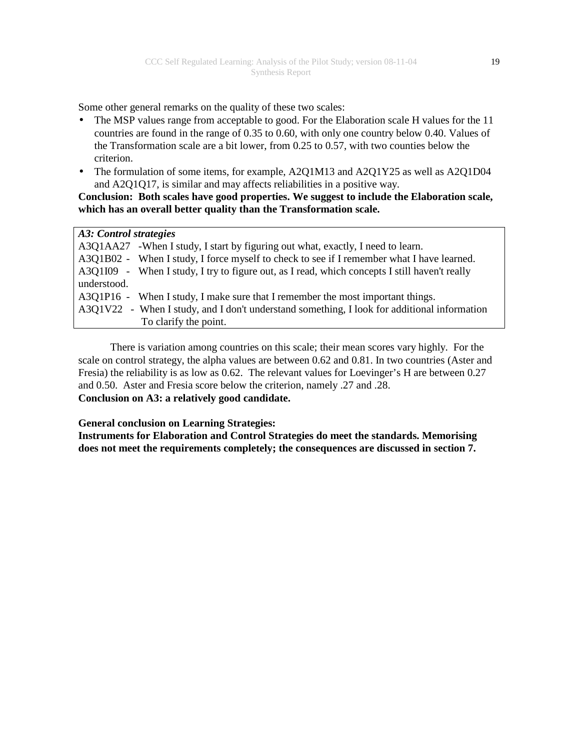Some other general remarks on the quality of these two scales:

- The MSP values range from acceptable to good. For the Elaboration scale H values for the 11 countries are found in the range of 0.35 to 0.60, with only one country below 0.40. Values of the Transformation scale are a bit lower, from 0.25 to 0.57, with two counties below the criterion.
- The formulation of some items, for example, A2Q1M13 and A2Q1Y25 as well as A2Q1D04 and A2Q1Q17, is similar and may affects reliabilities in a positive way.

**Conclusion: Both scales have good properties. We suggest to include the Elaboration scale, which has an overall better quality than the Transformation scale.** 

| A3: Control strategies |                                                                                               |
|------------------------|-----------------------------------------------------------------------------------------------|
|                        | A3Q1AA27 -When I study, I start by figuring out what, exactly, I need to learn.               |
|                        | A3Q1B02 - When I study, I force myself to check to see if I remember what I have learned.     |
|                        | A3Q1109 - When I study, I try to figure out, as I read, which concepts I still haven't really |
| understood.            |                                                                                               |
|                        | A3Q1P16 - When I study, I make sure that I remember the most important things.                |
|                        | A3Q1V22 - When I study, and I don't understand something, I look for additional information   |
|                        | To clarify the point.                                                                         |

 There is variation among countries on this scale; their mean scores vary highly. For the scale on control strategy, the alpha values are between 0.62 and 0.81. In two countries (Aster and Fresia) the reliability is as low as 0.62. The relevant values for Loevinger's H are between 0.27 and 0.50. Aster and Fresia score below the criterion, namely .27 and .28. **Conclusion on A3: a relatively good candidate.** 

#### **General conclusion on Learning Strategies:**

**Instruments for Elaboration and Control Strategies do meet the standards. Memorising does not meet the requirements completely; the consequences are discussed in section 7.**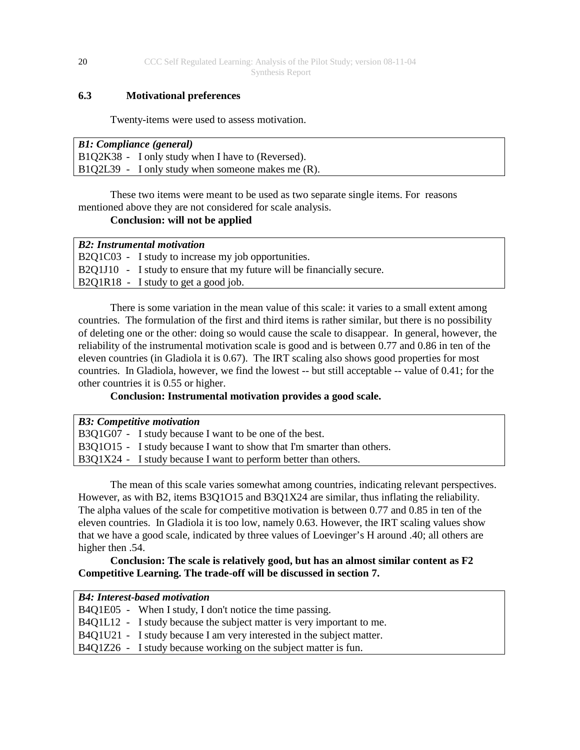#### 20 CCC Self Regulated Learning: Analysis of the Pilot Study; version 08-11-04 Synthesis Report

#### **6.3 Motivational preferences**

Twenty-items were used to assess motivation.

| B1: Compliance (general)                               |  |
|--------------------------------------------------------|--|
| B1Q2K38 - I only study when I have to (Reversed).      |  |
| $B1Q2L39 - I$ only study when someone makes me $(R)$ . |  |

 These two items were meant to be used as two separate single items. For reasons mentioned above they are not considered for scale analysis.

#### **Conclusion: will not be applied**

| <b>B2: Instrumental motivation</b>                                     |
|------------------------------------------------------------------------|
| B2Q1C03 - I study to increase my job opportunities.                    |
| B2Q1J10 - I study to ensure that my future will be financially secure. |
| B2Q1R18 - I study to get a good job.                                   |

 There is some variation in the mean value of this scale: it varies to a small extent among countries. The formulation of the first and third items is rather similar, but there is no possibility of deleting one or the other: doing so would cause the scale to disappear. In general, however, the reliability of the instrumental motivation scale is good and is between 0.77 and 0.86 in ten of the eleven countries (in Gladiola it is 0.67). The IRT scaling also shows good properties for most countries. In Gladiola, however, we find the lowest -- but still acceptable -- value of 0.41; for the other countries it is 0.55 or higher.

### **Conclusion: Instrumental motivation provides a good scale.**

| <b>B3: Competitive motivation</b>                                      |  |
|------------------------------------------------------------------------|--|
| B3Q1G07 - I study because I want to be one of the best.                |  |
| B3Q1015 - I study because I want to show that I'm smarter than others. |  |
| B3Q1X24 - I study because I want to perform better than others.        |  |

 The mean of this scale varies somewhat among countries, indicating relevant perspectives. However, as with B2, items B3Q1O15 and B3Q1X24 are similar, thus inflating the reliability. The alpha values of the scale for competitive motivation is between 0.77 and 0.85 in ten of the eleven countries. In Gladiola it is too low, namely 0.63. However, the IRT scaling values show that we have a good scale, indicated by three values of Loevinger's H around .40; all others are higher then .54.

### **Conclusion: The scale is relatively good, but has an almost similar content as F2 Competitive Learning. The trade-off will be discussed in section 7.**

| <b>B4: Interest-based motivation</b> |                                                                       |  |
|--------------------------------------|-----------------------------------------------------------------------|--|
|                                      | B4Q1E05 - When I study, I don't notice the time passing.              |  |
|                                      | B4Q1L12 - I study because the subject matter is very important to me. |  |
|                                      | B4Q1U21 - I study because I am very interested in the subject matter. |  |
|                                      | B4Q1Z26 - I study because working on the subject matter is fun.       |  |
|                                      |                                                                       |  |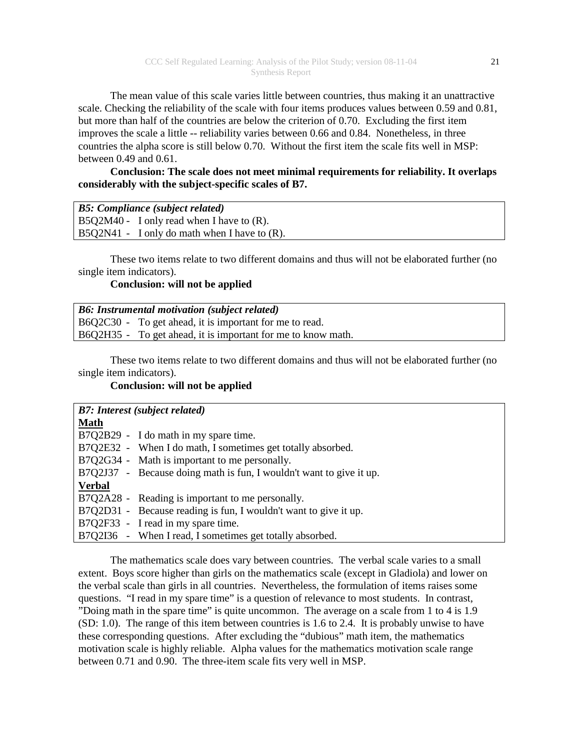The mean value of this scale varies little between countries, thus making it an unattractive scale. Checking the reliability of the scale with four items produces values between 0.59 and 0.81, but more than half of the countries are below the criterion of 0.70. Excluding the first item improves the scale a little -- reliability varies between 0.66 and 0.84. Nonetheless, in three countries the alpha score is still below 0.70. Without the first item the scale fits well in MSP: between 0.49 and 0.61.

 **Conclusion: The scale does not meet minimal requirements for reliability. It overlaps considerably with the subject-specific scales of B7.**

| <b>B5: Compliance (subject related)</b> |                                                      |
|-----------------------------------------|------------------------------------------------------|
|                                         | $\vert$ B5Q2M40 - I only read when I have to $(R)$ . |
|                                         | $BSQ2N41$ - I only do math when I have to $(R)$ .    |

 These two items relate to two different domains and thus will not be elaborated further (no single item indicators).

#### **Conclusion: will not be applied**

| <b>B6: Instrumental motivation (subject related)</b> |                                                              |
|------------------------------------------------------|--------------------------------------------------------------|
|                                                      | B6Q2C30 - To get ahead, it is important for me to read.      |
|                                                      | B6Q2H35 - To get ahead, it is important for me to know math. |

 These two items relate to two different domains and thus will not be elaborated further (no single item indicators).

#### **Conclusion: will not be applied**

| <b>B7</b> : Interest (subject related) |                                                                     |
|----------------------------------------|---------------------------------------------------------------------|
| Math                                   |                                                                     |
|                                        | B7Q2B29 - I do math in my spare time.                               |
|                                        | B7Q2E32 - When I do math, I sometimes get totally absorbed.         |
|                                        | B7Q2G34 - Math is important to me personally.                       |
|                                        | B7Q2J37 - Because doing math is fun, I wouldn't want to give it up. |
| <b>Verbal</b>                          |                                                                     |
|                                        | B7Q2A28 - Reading is important to me personally.                    |
|                                        | B7Q2D31 - Because reading is fun, I wouldn't want to give it up.    |
|                                        | B7Q2F33 - I read in my spare time.                                  |
|                                        | B7Q2I36 - When I read, I sometimes get totally absorbed.            |

 The mathematics scale does vary between countries. The verbal scale varies to a small extent. Boys score higher than girls on the mathematics scale (except in Gladiola) and lower on the verbal scale than girls in all countries. Nevertheless, the formulation of items raises some questions. "I read in my spare time" is a question of relevance to most students. In contrast, "Doing math in the spare time" is quite uncommon. The average on a scale from 1 to 4 is 1.9 (SD: 1.0). The range of this item between countries is 1.6 to 2.4. It is probably unwise to have these corresponding questions. After excluding the "dubious" math item, the mathematics motivation scale is highly reliable. Alpha values for the mathematics motivation scale range between 0.71 and 0.90. The three-item scale fits very well in MSP.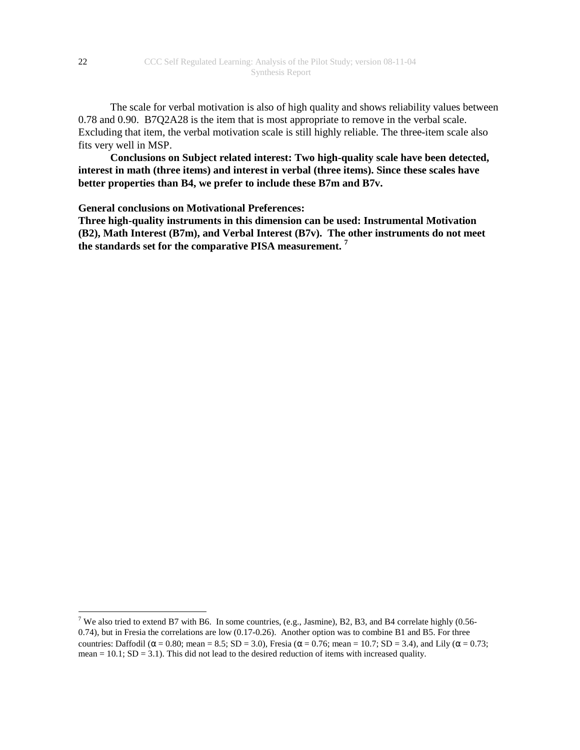The scale for verbal motivation is also of high quality and shows reliability values between 0.78 and 0.90. B7Q2A28 is the item that is most appropriate to remove in the verbal scale. Excluding that item, the verbal motivation scale is still highly reliable. The three-item scale also fits very well in MSP.

 **Conclusions on Subject related interest: Two high-quality scale have been detected, interest in math (three items) and interest in verbal (three items). Since these scales have better properties than B4, we prefer to include these B7m and B7v.** 

**General conclusions on Motivational Preferences:** 

**Three high-quality instruments in this dimension can be used: Instrumental Motivation (B2), Math Interest (B7m), and Verbal Interest (B7v). The other instruments do not meet the standards set for the comparative PISA measurement. <sup>7</sup>**

<sup>&</sup>lt;sup>7</sup> We also tried to extend B7 with B6. In some countries, (e.g., Jasmine), B2, B3, and B4 correlate highly (0.56-0.74), but in Fresia the correlations are low (0.17-0.26). Another option was to combine B1 and B5. For three countries: Daffodil (α = 0.80; mean = 8.5; SD = 3.0), Fresia (α = 0.76; mean = 10.7; SD = 3.4), and Lily (α = 0.73; mean  $= 10.1$ ; SD  $= 3.1$ ). This did not lead to the desired reduction of items with increased quality.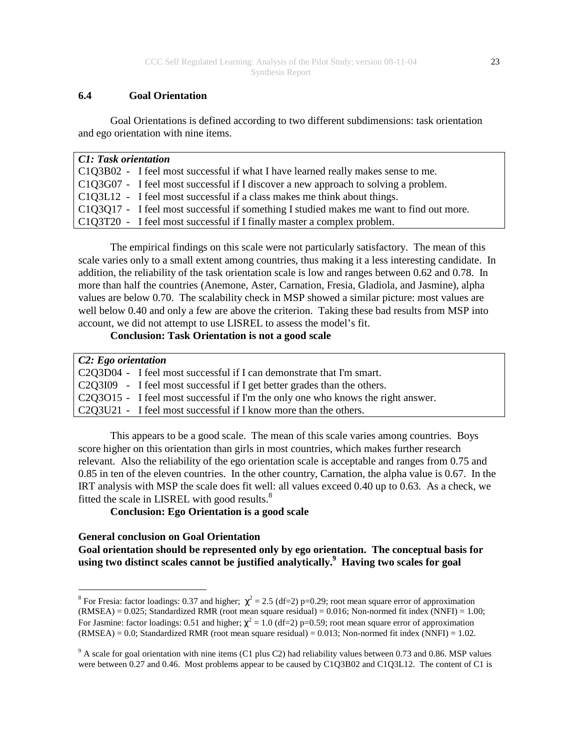#### **6.4 Goal Orientation**

 Goal Orientations is defined according to two different subdimensions: task orientation and ego orientation with nine items.

| <b>C1: Task orientation</b>                                                             |  |
|-----------------------------------------------------------------------------------------|--|
| C1Q3B02 - I feel most successful if what I have learned really makes sense to me.       |  |
| C1Q3G07 - I feel most successful if I discover a new approach to solving a problem.     |  |
| C1Q3L12 - I feel most successful if a class makes me think about things.                |  |
| C1Q3Q17 - I feel most successful if something I studied makes me want to find out more. |  |
| C1Q3T20 - I feel most successful if I finally master a complex problem.                 |  |

 The empirical findings on this scale were not particularly satisfactory. The mean of this scale varies only to a small extent among countries, thus making it a less interesting candidate. In addition, the reliability of the task orientation scale is low and ranges between 0.62 and 0.78. In more than half the countries (Anemone, Aster, Carnation, Fresia, Gladiola, and Jasmine), alpha values are below 0.70. The scalability check in MSP showed a similar picture: most values are well below 0.40 and only a few are above the criterion. Taking these bad results from MSP into account, we did not attempt to use LISREL to assess the model's fit.

#### **Conclusion: Task Orientation is not a good scale**

| $C2: Ego$ orientation |                                                                                                             |  |
|-----------------------|-------------------------------------------------------------------------------------------------------------|--|
|                       | C <sub>2</sub> Q <sub>3</sub> D <sub>04</sub> - I feel most successful if I can demonstrate that I'm smart. |  |
|                       | C <sub>2</sub> Q <sub>3</sub> I09 - I feel most successful if I get better grades than the others.          |  |
|                       | $C2Q3O15$ - I feel most successful if I'm the only one who knows the right answer.                          |  |
|                       | C <sub>2</sub> O <sub>3</sub> U <sub>21</sub> - I feel most successful if I know more than the others.      |  |

 This appears to be a good scale. The mean of this scale varies among countries. Boys score higher on this orientation than girls in most countries, which makes further research relevant. Also the reliability of the ego orientation scale is acceptable and ranges from 0.75 and 0.85 in ten of the eleven countries. In the other country, Carnation, the alpha value is 0.67. In the IRT analysis with MSP the scale does fit well: all values exceed 0.40 up to 0.63. As a check, we fitted the scale in LISREL with good results.<sup>8</sup>

#### **Conclusion: Ego Orientation is a good scale**

#### **General conclusion on Goal Orientation**

 $\overline{a}$ 

**Goal orientation should be represented only by ego orientation. The conceptual basis for using two distinct scales cannot be justified analytically.9 Having two scales for goal** 

<sup>&</sup>lt;sup>8</sup> For Fresia: factor loadings: 0.37 and higher;  $\chi^2 = 2.5$  (df=2) p=0.29; root mean square error of approximation  $(RMSEA) = 0.025$ ; Standardized RMR (root mean square residual) = 0.016; Non-normed fit index (NNFI) = 1.00; For Jasmine: factor loadings: 0.51 and higher;  $\chi^2 = 1.0$  (df=2) p=0.59; root mean square error of approximation  $(RMSEA) = 0.0$ ; Standardized RMR (root mean square residual) = 0.013; Non-normed fit index (NNFI) = 1.02.

 $9<sup>9</sup>$  A scale for goal orientation with nine items (C1 plus C2) had reliability values between 0.73 and 0.86. MSP values were between 0.27 and 0.46. Most problems appear to be caused by C1Q3B02 and C1Q3L12. The content of C1 is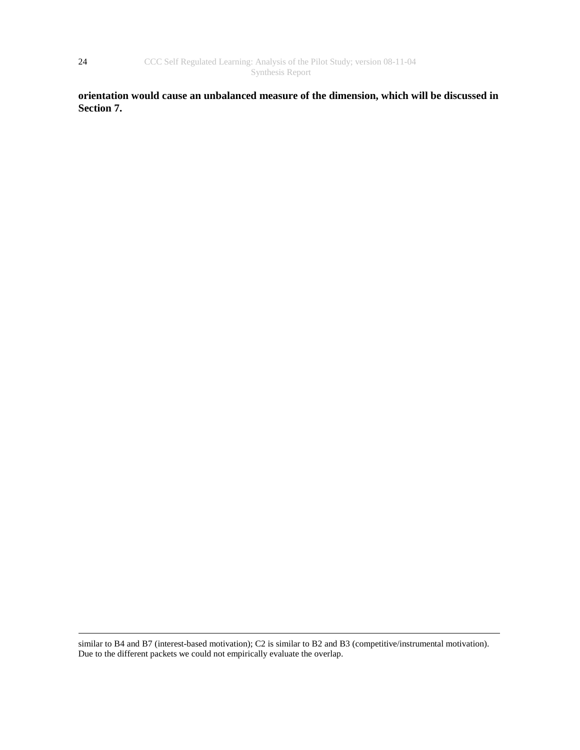**orientation would cause an unbalanced measure of the dimension, which will be discussed in Section 7.**

similar to B4 and B7 (interest-based motivation); C2 is similar to B2 and B3 (competitive/instrumental motivation). Due to the different packets we could not empirically evaluate the overlap.

 $\overline{a}$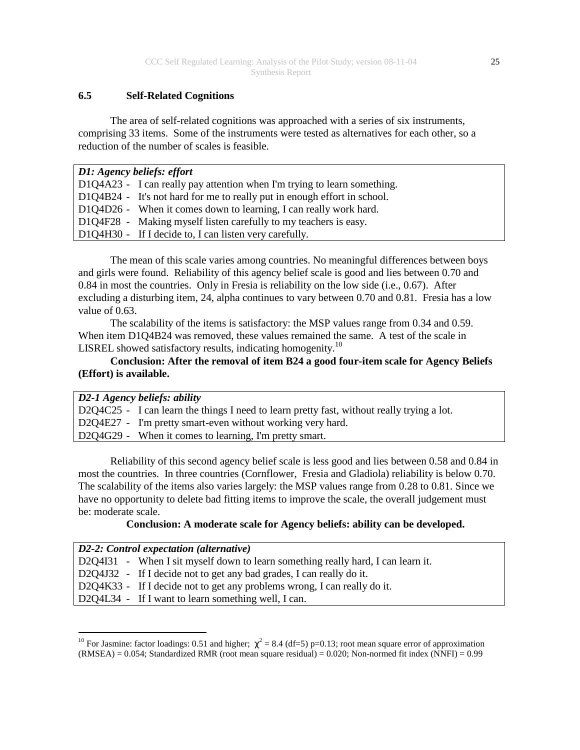#### **6.5 Self-Related Cognitions**

 $\overline{a}$ 

 The area of self-related cognitions was approached with a series of six instruments, comprising 33 items. Some of the instruments were tested as alternatives for each other, so a reduction of the number of scales is feasible.

| <b>D1:</b> Agency beliefs: effort |                                                                          |  |
|-----------------------------------|--------------------------------------------------------------------------|--|
|                                   | D1Q4A23 - I can really pay attention when I'm trying to learn something. |  |
|                                   | D1Q4B24 - It's not hard for me to really put in enough effort in school. |  |
|                                   | D1Q4D26 - When it comes down to learning, I can really work hard.        |  |
|                                   | D1Q4F28 - Making myself listen carefully to my teachers is easy.         |  |
|                                   | D1Q4H30 - If I decide to, I can listen very carefully.                   |  |

 The mean of this scale varies among countries. No meaningful differences between boys and girls were found. Reliability of this agency belief scale is good and lies between 0.70 and 0.84 in most the countries. Only in Fresia is reliability on the low side (i.e., 0.67). After excluding a disturbing item, 24, alpha continues to vary between 0.70 and 0.81. Fresia has a low value of 0.63.

The scalability of the items is satisfactory: the MSP values range from 0.34 and 0.59. When item D1O4B24 was removed, these values remained the same. A test of the scale in LISREL showed satisfactory results, indicating homogenity.<sup>10</sup>

#### **Conclusion: After the removal of item B24 a good four-item scale for Agency Beliefs (Effort) is available.**

| D2-1 Agency beliefs: ability |                                                                                            |  |
|------------------------------|--------------------------------------------------------------------------------------------|--|
|                              | D2Q4C25 - I can learn the things I need to learn pretty fast, without really trying a lot. |  |
|                              | D2Q4E27 - I'm pretty smart-even without working very hard.                                 |  |
|                              | D2Q4G29 - When it comes to learning, I'm pretty smart.                                     |  |

 Reliability of this second agency belief scale is less good and lies between 0.58 and 0.84 in most the countries. In three countries (Cornflower, Fresia and Gladiola) reliability is below 0.70. The scalability of the items also varies largely: the MSP values range from 0.28 to 0.81. Since we have no opportunity to delete bad fitting items to improve the scale, the overall judgement must be: moderate scale.

#### **Conclusion: A moderate scale for Agency beliefs: ability can be developed.**

| <b>D2-2: Control expectation (alternative)</b> |                                                                                  |
|------------------------------------------------|----------------------------------------------------------------------------------|
|                                                | D2Q4I31 - When I sit myself down to learn something really hard, I can learn it. |
|                                                | D2Q4J32 - If I decide not to get any bad grades, I can really do it.             |
|                                                | D2Q4K33 - If I decide not to get any problems wrong, I can really do it.         |
|                                                | D2Q4L34 - If I want to learn something well, I can.                              |

<sup>&</sup>lt;sup>10</sup> For Jasmine: factor loadings: 0.51 and higher;  $\chi^2 = 8.4$  (df=5) p=0.13; root mean square error of approximation  $(RMSEA) = 0.054$ ; Standardized RMR (root mean square residual) = 0.020; Non-normed fit index  $(NNFI) = 0.99$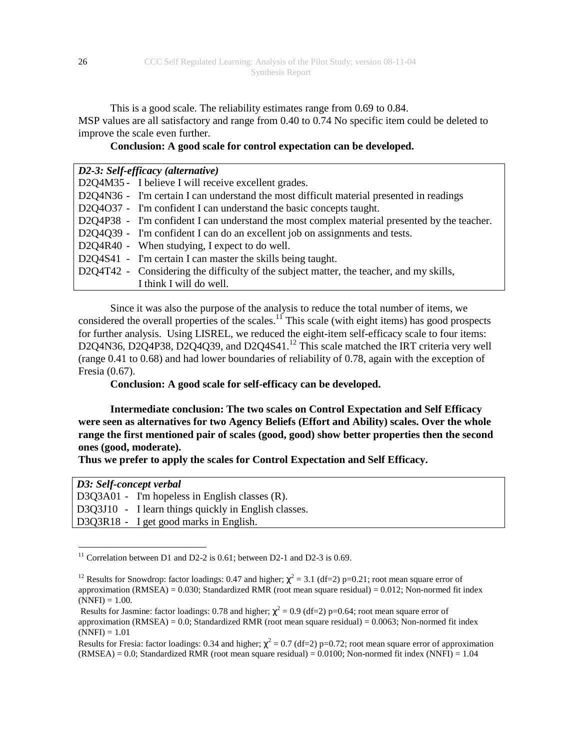This is a good scale. The reliability estimates range from 0.69 to 0.84. MSP values are all satisfactory and range from 0.40 to 0.74 No specific item could be deleted to improve the scale even further.

#### **Conclusion: A good scale for control expectation can be developed.**

| D2-3: Self-efficacy (alternative) |                                                                                              |
|-----------------------------------|----------------------------------------------------------------------------------------------|
|                                   | D2Q4M35 - I believe I will receive excellent grades.                                         |
|                                   | D2Q4N36 - I'm certain I can understand the most difficult material presented in readings     |
|                                   | D2Q4O37 - I'm confident I can understand the basic concepts taught.                          |
|                                   | D2Q4P38 - I'm confident I can understand the most complex material presented by the teacher. |
|                                   | D2Q4Q39 - I'm confident I can do an excellent job on assignments and tests.                  |
|                                   | D2Q4R40 - When studying, I expect to do well.                                                |
|                                   | D2Q4S41 - I'm certain I can master the skills being taught.                                  |
|                                   | D2Q4T42 - Considering the difficulty of the subject matter, the teacher, and my skills,      |
|                                   | I think I will do well.                                                                      |

Since it was also the purpose of the analysis to reduce the total number of items, we considered the overall properties of the scales.<sup>11</sup> This scale (with eight items) has good prospects for further analysis. Using LISREL, we reduced the eight-item self-efficacy scale to four items: D2Q4N36, D2Q4P38, D2Q4Q39, and D2Q4S41.<sup>12</sup> This scale matched the IRT criteria very well (range 0.41 to 0.68) and had lower boundaries of reliability of 0.78, again with the exception of Fresia (0.67).

#### **Conclusion: A good scale for self-efficacy can be developed.**

 **Intermediate conclusion: The two scales on Control Expectation and Self Efficacy were seen as alternatives for two Agency Beliefs (Effort and Ability) scales. Over the whole range the first mentioned pair of scales (good, good) show better properties then the second ones (good, moderate).** 

**Thus we prefer to apply the scales for Control Expectation and Self Efficacy.** 

| D3: Self-concept verbal |                                                      |  |
|-------------------------|------------------------------------------------------|--|
|                         | D3Q3A01 - I'm hopeless in English classes $(R)$ .    |  |
|                         | D3Q3J10 - I learn things quickly in English classes. |  |
|                         | D3Q3R18 - I get good marks in English.               |  |
|                         |                                                      |  |

<sup>&</sup>lt;sup>11</sup> Correlation between D1 and D2-2 is 0.61; between D2-1 and D2-3 is 0.69.

Results for Fresia: factor loadings: 0.34 and higher;  $\chi^2 = 0.7$  (df=2) p=0.72; root mean square error of approximation  $(RMSEA) = 0.0$ ; Standardized RMR (root mean square residual) = 0.0100; Non-normed fit index  $(NNFI) = 1.04$ 

 $\overline{a}$ 

<sup>&</sup>lt;sup>12</sup> Results for Snowdrop: factor loadings: 0.47 and higher;  $\chi^2 = 3.1$  (df=2) p=0.21; root mean square error of approximation (RMSEA) = 0.030; Standardized RMR (root mean square residual) = 0.012; Non-normed fit index  $(NNFI) = 1.00.$ 

Results for Jasmine: factor loadings: 0.78 and higher;  $\chi^2 = 0.9$  (df=2) p=0.64; root mean square error of approximation (RMSEA) = 0.0; Standardized RMR (root mean square residual) = 0.0063; Non-normed fit index  $(NNFI) = 1.01$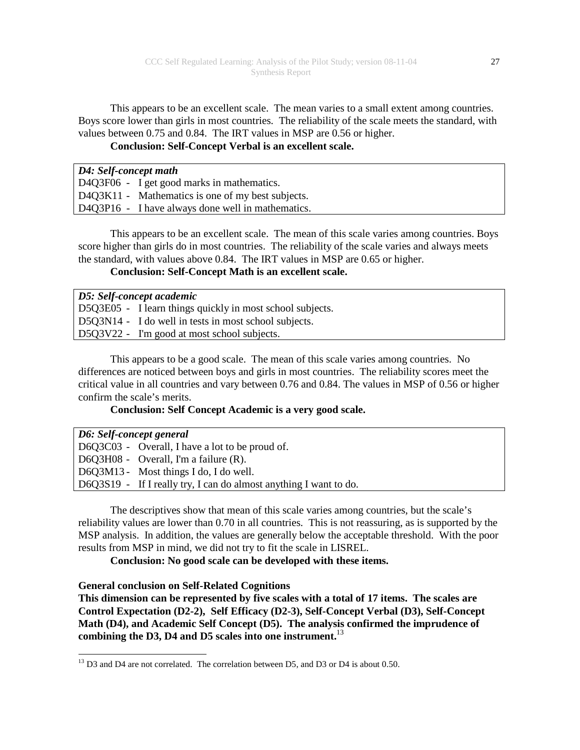This appears to be an excellent scale. The mean varies to a small extent among countries. Boys score lower than girls in most countries. The reliability of the scale meets the standard, with values between 0.75 and 0.84. The IRT values in MSP are 0.56 or higher.

 **Conclusion: Self-Concept Verbal is an excellent scale.** 

| <b>D4:</b> Self-concept math |                                                   |  |  |  |  |
|------------------------------|---------------------------------------------------|--|--|--|--|
|                              | D4Q3F06 - I get good marks in mathematics.        |  |  |  |  |
|                              | D4Q3K11 - Mathematics is one of my best subjects. |  |  |  |  |
|                              | D4Q3P16 - I have always done well in mathematics. |  |  |  |  |

 This appears to be an excellent scale. The mean of this scale varies among countries. Boys score higher than girls do in most countries. The reliability of the scale varies and always meets the standard, with values above 0.84. The IRT values in MSP are 0.65 or higher.

#### **Conclusion: Self-Concept Math is an excellent scale.**

| <b>D5: Self-concept academic</b> |                                                           |  |  |  |  |
|----------------------------------|-----------------------------------------------------------|--|--|--|--|
|                                  | D5Q3E05 - I learn things quickly in most school subjects. |  |  |  |  |
|                                  | D5Q3N14 - I do well in tests in most school subjects.     |  |  |  |  |
|                                  | D5Q3V22 - I'm good at most school subjects.               |  |  |  |  |

 This appears to be a good scale. The mean of this scale varies among countries. No differences are noticed between boys and girls in most countries. The reliability scores meet the critical value in all countries and vary between 0.76 and 0.84. The values in MSP of 0.56 or higher confirm the scale's merits.

 **Conclusion: Self Concept Academic is a very good scale.** 

| D6: Self-concept general                                          |  |  |  |  |  |
|-------------------------------------------------------------------|--|--|--|--|--|
| D6Q3C03 - Overall, I have a lot to be proud of.                   |  |  |  |  |  |
| $\vert$ D6Q3H08 - Overall, I'm a failure $(R)$ .                  |  |  |  |  |  |
| $\vert$ D6Q3M13 - Most things I do, I do well.                    |  |  |  |  |  |
| D6Q3S19 - If I really try, I can do almost anything I want to do. |  |  |  |  |  |

 The descriptives show that mean of this scale varies among countries, but the scale's reliability values are lower than 0.70 in all countries. This is not reassuring, as is supported by the MSP analysis. In addition, the values are generally below the acceptable threshold. With the poor results from MSP in mind, we did not try to fit the scale in LISREL.

 **Conclusion: No good scale can be developed with these items.** 

#### **General conclusion on Self-Related Cognitions**

 $\overline{a}$ 

**This dimension can be represented by five scales with a total of 17 items. The scales are Control Expectation (D2-2), Self Efficacy (D2-3), Self-Concept Verbal (D3), Self-Concept Math (D4), and Academic Self Concept (D5). The analysis confirmed the imprudence of combining the D3, D4 and D5 scales into one instrument.**<sup>13</sup>

 $13$  D3 and D4 are not correlated. The correlation between D5, and D3 or D4 is about 0.50.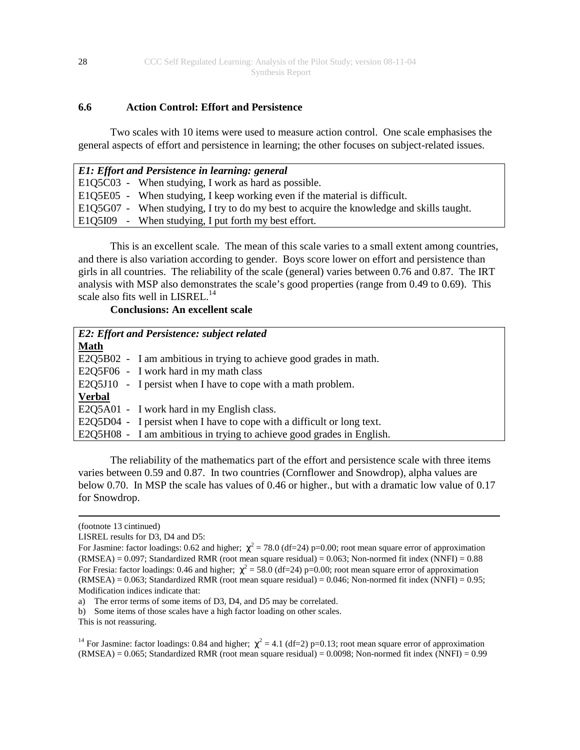#### **6.6 Action Control: Effort and Persistence**

 Two scales with 10 items were used to measure action control. One scale emphasises the general aspects of effort and persistence in learning; the other focuses on subject-related issues.

| E1: Effort and Persistence in learning: general |                                                                                          |  |  |  |  |
|-------------------------------------------------|------------------------------------------------------------------------------------------|--|--|--|--|
|                                                 | E1Q5C03 - When studying, I work as hard as possible.                                     |  |  |  |  |
|                                                 | E1Q5E05 - When studying, I keep working even if the material is difficult.               |  |  |  |  |
|                                                 | E1Q5G07 - When studying, I try to do my best to acquire the knowledge and skills taught. |  |  |  |  |
|                                                 | E1Q5I09 - When studying, I put forth my best effort.                                     |  |  |  |  |

 This is an excellent scale. The mean of this scale varies to a small extent among countries, and there is also variation according to gender. Boys score lower on effort and persistence than girls in all countries. The reliability of the scale (general) varies between 0.76 and 0.87. The IRT analysis with MSP also demonstrates the scale's good properties (range from 0.49 to 0.69). This scale also fits well in LISREL.<sup>14</sup>

## **Conclusions: An excellent scale**

| <b>E2: Effort and Persistence: subject related</b> |                                                                        |  |  |  |  |  |
|----------------------------------------------------|------------------------------------------------------------------------|--|--|--|--|--|
| <b>Math</b>                                        |                                                                        |  |  |  |  |  |
|                                                    | E2Q5B02 - I am ambitious in trying to achieve good grades in math.     |  |  |  |  |  |
|                                                    | E2Q5F06 - I work hard in my math class                                 |  |  |  |  |  |
|                                                    | E2Q5J10 - I persist when I have to cope with a math problem.           |  |  |  |  |  |
| <b>Verbal</b>                                      |                                                                        |  |  |  |  |  |
|                                                    | E2Q5A01 - I work hard in my English class.                             |  |  |  |  |  |
|                                                    | E2Q5D04 - I persist when I have to cope with a difficult or long text. |  |  |  |  |  |
|                                                    | E2Q5H08 - I am ambitious in trying to achieve good grades in English.  |  |  |  |  |  |

 The reliability of the mathematics part of the effort and persistence scale with three items varies between 0.59 and 0.87. In two countries (Cornflower and Snowdrop), alpha values are below 0.70. In MSP the scale has values of 0.46 or higher., but with a dramatic low value of 0.17 for Snowdrop.

 $\overline{a}$ 

b) Some items of those scales have a high factor loading on other scales.

This is not reassuring.

<sup>14</sup> For Jasmine: factor loadings: 0.84 and higher;  $\chi^2 = 4.1$  (df=2) p=0.13; root mean square error of approximation  $(RMSEA) = 0.065$ ; Standardized RMR (root mean square residual) = 0.0098; Non-normed fit index  $(NNFI) = 0.99$ 

<sup>(</sup>footnote 13 cintinued)

LISREL results for D3, D4 and D5:

For Jasmine: factor loadings: 0.62 and higher;  $\chi^2$  = 78.0 (df=24) p=0.00; root mean square error of approximation  $(RMSEA) = 0.097$ ; Standardized RMR (root mean square residual) = 0.063; Non-normed fit index (NNFI) = 0.88 For Fresia: factor loadings: 0.46 and higher;  $\chi^2$  = 58.0 (df=24) p=0.00; root mean square error of approximation  $(RMSEA) = 0.063$ ; Standardized RMR (root mean square residual) = 0.046; Non-normed fit index (NNFI) = 0.95; Modification indices indicate that:

a) The error terms of some items of D3, D4, and D5 may be correlated.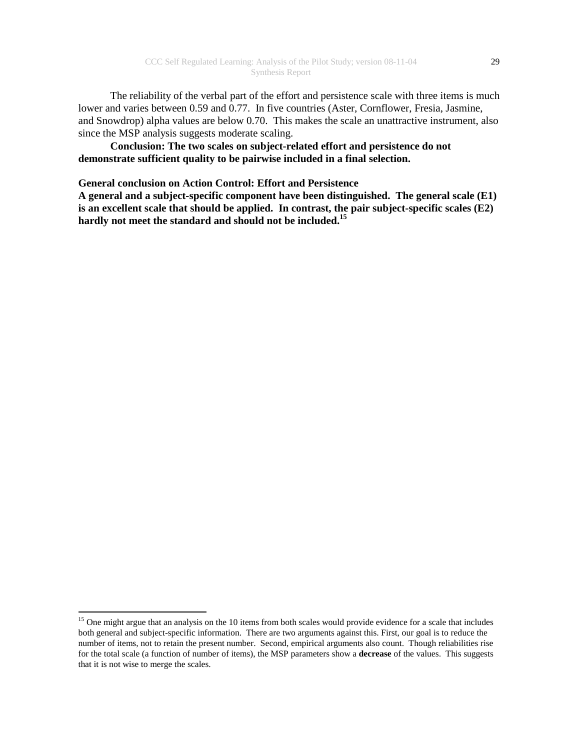The reliability of the verbal part of the effort and persistence scale with three items is much lower and varies between 0.59 and 0.77. In five countries (Aster, Cornflower, Fresia, Jasmine, and Snowdrop) alpha values are below 0.70. This makes the scale an unattractive instrument, also since the MSP analysis suggests moderate scaling.

 **Conclusion: The two scales on subject-related effort and persistence do not demonstrate sufficient quality to be pairwise included in a final selection.** 

#### **General conclusion on Action Control: Effort and Persistence**

**A general and a subject-specific component have been distinguished. The general scale (E1) is an excellent scale that should be applied. In contrast, the pair subject-specific scales (E2) hardly not meet the standard and should not be included.15**

 $\ddot{\phantom{a}}$ 

<sup>&</sup>lt;sup>15</sup> One might argue that an analysis on the 10 items from both scales would provide evidence for a scale that includes both general and subject-specific information. There are two arguments against this. First, our goal is to reduce the number of items, not to retain the present number. Second, empirical arguments also count. Though reliabilities rise for the total scale (a function of number of items), the MSP parameters show a **decrease** of the values. This suggests that it is not wise to merge the scales.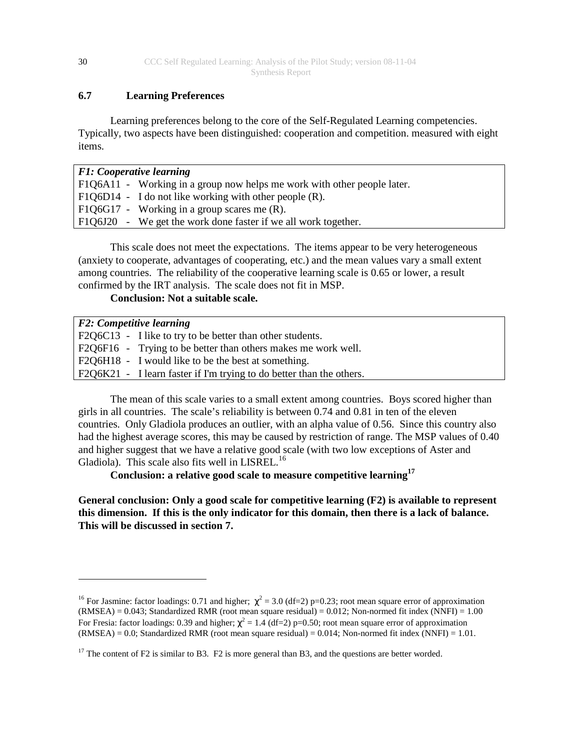#### **6.7 Learning Preferences**

 Learning preferences belong to the core of the Self-Regulated Learning competencies. Typically, two aspects have been distinguished: cooperation and competition. measured with eight items.

| FI: Cooperative learning |                                                                         |  |  |  |  |  |
|--------------------------|-------------------------------------------------------------------------|--|--|--|--|--|
|                          | F1Q6A11 - Working in a group now helps me work with other people later. |  |  |  |  |  |
|                          | $F1Q6D14$ - I do not like working with other people $(R)$ .             |  |  |  |  |  |
|                          | F1Q6G17 - Working in a group scares me $(R)$ .                          |  |  |  |  |  |
|                          | F1Q6J20 - We get the work done faster if we all work together.          |  |  |  |  |  |

 This scale does not meet the expectations. The items appear to be very heterogeneous (anxiety to cooperate, advantages of cooperating, etc.) and the mean values vary a small extent among countries. The reliability of the cooperative learning scale is 0.65 or lower, a result confirmed by the IRT analysis. The scale does not fit in MSP.

**Conclusion: Not a suitable scale.** 

| $F2:$ Competitive learning |                                                                      |  |  |  |  |  |
|----------------------------|----------------------------------------------------------------------|--|--|--|--|--|
|                            | F2Q6C13 - I like to try to be better than other students.            |  |  |  |  |  |
|                            | F2Q6F16 - Trying to be better than others makes me work well.        |  |  |  |  |  |
|                            | F2Q6H18 - I would like to be the best at something.                  |  |  |  |  |  |
|                            | F2Q6K21 - I learn faster if I'm trying to do better than the others. |  |  |  |  |  |

 The mean of this scale varies to a small extent among countries. Boys scored higher than girls in all countries. The scale's reliability is between 0.74 and 0.81 in ten of the eleven countries. Only Gladiola produces an outlier, with an alpha value of 0.56. Since this country also had the highest average scores, this may be caused by restriction of range. The MSP values of 0.40 and higher suggest that we have a relative good scale (with two low exceptions of Aster and Gladiola). This scale also fits well in LISREL.<sup>16</sup>

 **Conclusion: a relative good scale to measure competitive learning<sup>17</sup>**

**General conclusion: Only a good scale for competitive learning (F2) is available to represent this dimension. If this is the only indicator for this domain, then there is a lack of balance. This will be discussed in section 7.** 

 $\overline{a}$ 

<sup>&</sup>lt;sup>16</sup> For Jasmine: factor loadings: 0.71 and higher;  $\chi^2 = 3.0$  (df=2) p=0.23; root mean square error of approximation  $(RMSEA) = 0.043$ ; Standardized RMR (root mean square residual) = 0.012; Non-normed fit index  $(NNFI) = 1.00$ For Fresia: factor loadings: 0.39 and higher;  $\chi^2 = 1.4$  (df=2) p=0.50; root mean square error of approximation (RMSEA) = 0.0; Standardized RMR (root mean square residual) = 0.014; Non-normed fit index (NNFI) = 1.01.

<sup>&</sup>lt;sup>17</sup> The content of F2 is similar to B3. F2 is more general than B3, and the questions are better worded.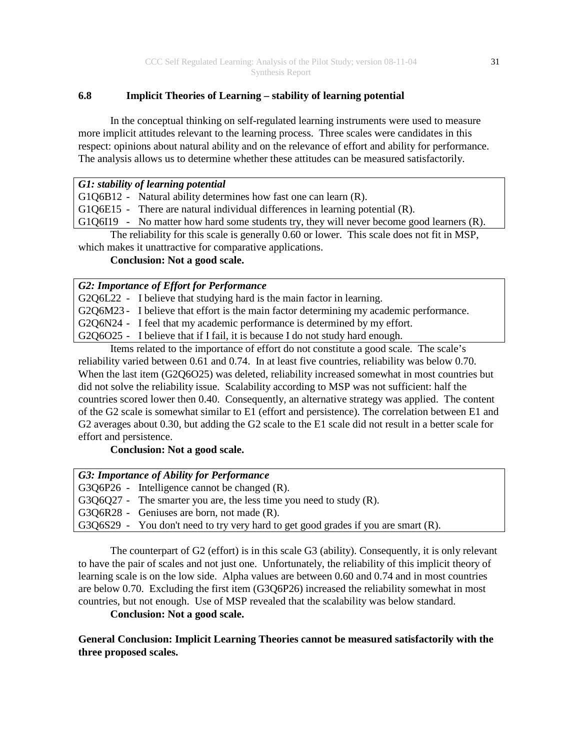#### **6.8 Implicit Theories of Learning – stability of learning potential**

 In the conceptual thinking on self-regulated learning instruments were used to measure more implicit attitudes relevant to the learning process. Three scales were candidates in this respect: opinions about natural ability and on the relevance of effort and ability for performance. The analysis allows us to determine whether these attitudes can be measured satisfactorily.

#### *G1: stability of learning potential*

G1Q6B12 - Natural ability determines how fast one can learn (R).

G1Q6E15 - There are natural individual differences in learning potential (R).

G1Q6I19 - No matter how hard some students try, they will never become good learners (R).

 The reliability for this scale is generally 0.60 or lower. This scale does not fit in MSP, which makes it unattractive for comparative applications.

#### **Conclusion: Not a good scale.**

#### *G2: Importance of Effort for Performance*

G2Q6L22 - I believe that studying hard is the main factor in learning.

G2Q6M23 - I believe that effort is the main factor determining my academic performance.

G2Q6N24 - I feel that my academic performance is determined by my effort.

G2Q6O25 - I believe that if I fail, it is because I do not study hard enough.

 Items related to the importance of effort do not constitute a good scale. The scale's reliability varied between 0.61 and 0.74. In at least five countries, reliability was below 0.70. When the last item (G2Q6O25) was deleted, reliability increased somewhat in most countries but did not solve the reliability issue. Scalability according to MSP was not sufficient: half the countries scored lower then 0.40. Consequently, an alternative strategy was applied. The content of the G2 scale is somewhat similar to E1 (effort and persistence). The correlation between E1 and G2 averages about 0.30, but adding the G2 scale to the E1 scale did not result in a better scale for effort and persistence.

#### **Conclusion: Not a good scale.**

| <b>G3: Importance of Ability for Performance</b> |                                                                                       |  |  |  |  |  |
|--------------------------------------------------|---------------------------------------------------------------------------------------|--|--|--|--|--|
|                                                  | $G3Q6P26$ - Intelligence cannot be changed $(R)$ .                                    |  |  |  |  |  |
|                                                  | G3Q6Q27 - The smarter you are, the less time you need to study $(R)$ .                |  |  |  |  |  |
|                                                  | $G3Q6R28$ - Geniuses are born, not made $(R)$ .                                       |  |  |  |  |  |
|                                                  | G3Q6S29 - You don't need to try very hard to get good grades if you are smart $(R)$ . |  |  |  |  |  |
|                                                  |                                                                                       |  |  |  |  |  |

 The counterpart of G2 (effort) is in this scale G3 (ability). Consequently, it is only relevant to have the pair of scales and not just one. Unfortunately, the reliability of this implicit theory of learning scale is on the low side. Alpha values are between 0.60 and 0.74 and in most countries are below 0.70. Excluding the first item (G3Q6P26) increased the reliability somewhat in most countries, but not enough. Use of MSP revealed that the scalability was below standard.

 **Conclusion: Not a good scale.** 

**General Conclusion: Implicit Learning Theories cannot be measured satisfactorily with the three proposed scales.**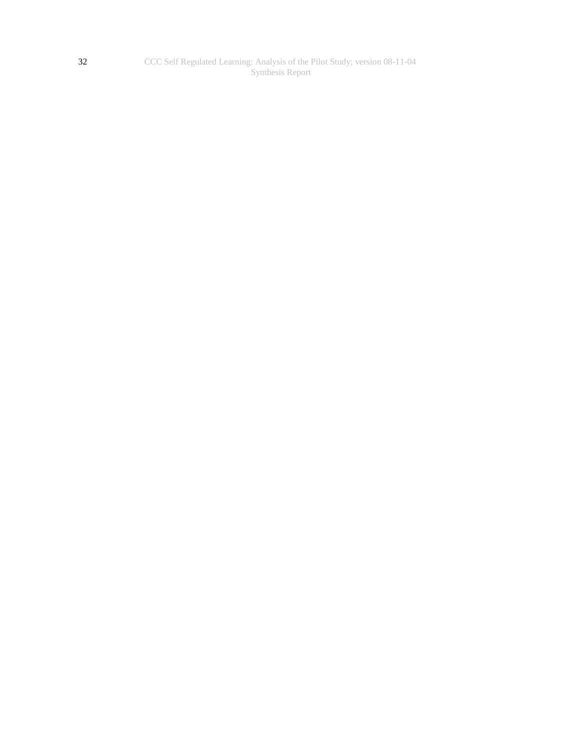32 CCC Self Regulated Learning: Analysis of the Pilot Study; version 08-11-04 Synthesis Report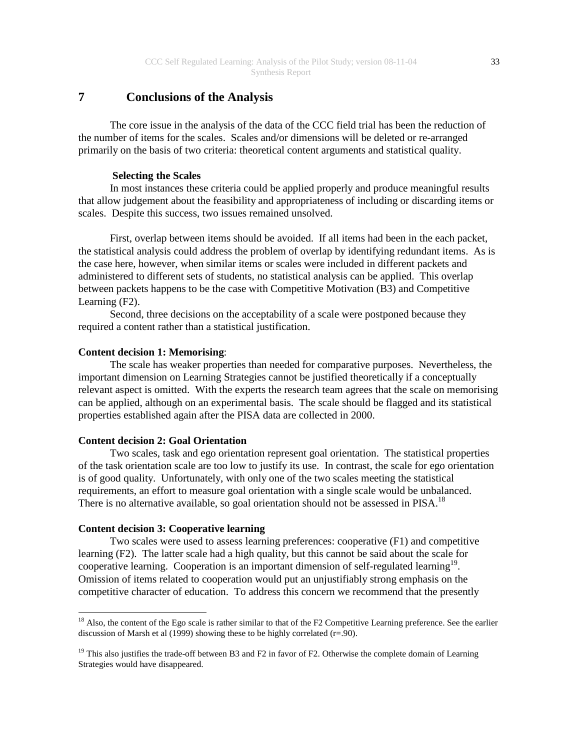#### **7 Conclusions of the Analysis**

The core issue in the analysis of the data of the CCC field trial has been the reduction of the number of items for the scales. Scales and/or dimensions will be deleted or re-arranged primarily on the basis of two criteria: theoretical content arguments and statistical quality.

#### **Selecting the Scales**

In most instances these criteria could be applied properly and produce meaningful results that allow judgement about the feasibility and appropriateness of including or discarding items or scales. Despite this success, two issues remained unsolved.

First, overlap between items should be avoided. If all items had been in the each packet, the statistical analysis could address the problem of overlap by identifying redundant items. As is the case here, however, when similar items or scales were included in different packets and administered to different sets of students, no statistical analysis can be applied. This overlap between packets happens to be the case with Competitive Motivation (B3) and Competitive Learning (F2).

Second, three decisions on the acceptability of a scale were postponed because they required a content rather than a statistical justification.

#### **Content decision 1: Memorising**:

The scale has weaker properties than needed for comparative purposes. Nevertheless, the important dimension on Learning Strategies cannot be justified theoretically if a conceptually relevant aspect is omitted. With the experts the research team agrees that the scale on memorising can be applied, although on an experimental basis. The scale should be flagged and its statistical properties established again after the PISA data are collected in 2000.

#### **Content decision 2: Goal Orientation**

Two scales, task and ego orientation represent goal orientation. The statistical properties of the task orientation scale are too low to justify its use. In contrast, the scale for ego orientation is of good quality. Unfortunately, with only one of the two scales meeting the statistical requirements, an effort to measure goal orientation with a single scale would be unbalanced. There is no alternative available, so goal orientation should not be assessed in PISA.<sup>18</sup>

#### **Content decision 3: Cooperative learning**

 $\overline{a}$ 

Two scales were used to assess learning preferences: cooperative (F1) and competitive learning (F2). The latter scale had a high quality, but this cannot be said about the scale for cooperative learning. Cooperation is an important dimension of self-regulated learning<sup>19</sup>. Omission of items related to cooperation would put an unjustifiably strong emphasis on the competitive character of education. To address this concern we recommend that the presently

 $18$  Also, the content of the Ego scale is rather similar to that of the F2 Competitive Learning preference. See the earlier discussion of Marsh et al (1999) showing these to be highly correlated  $(r=.90)$ .

 $19$  This also justifies the trade-off between B3 and F2 in favor of F2. Otherwise the complete domain of Learning Strategies would have disappeared.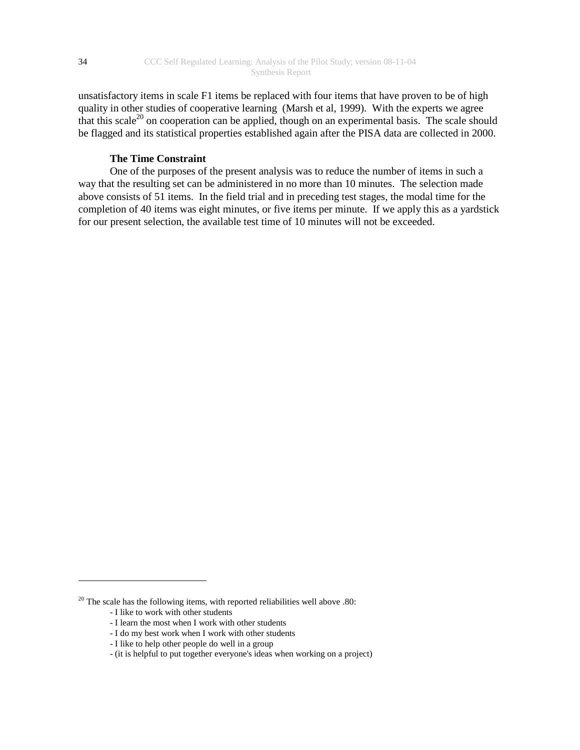unsatisfactory items in scale F1 items be replaced with four items that have proven to be of high quality in other studies of cooperative learning (Marsh et al, 1999).With the experts we agree that this scale<sup>20</sup> on cooperation can be applied, though on an experimental basis. The scale should be flagged and its statistical properties established again after the PISA data are collected in 2000.

#### **The Time Constraint**

One of the purposes of the present analysis was to reduce the number of items in such a way that the resulting set can be administered in no more than 10 minutes. The selection made above consists of 51 items. In the field trial and in preceding test stages, the modal time for the completion of 40 items was eight minutes, or five items per minute. If we apply this as a yardstick for our present selection, the available test time of 10 minutes will not be exceeded.

 $\overline{a}$ 

 $20$  The scale has the following items, with reported reliabilities well above .80:

<sup>-</sup> I like to work with other students

<sup>-</sup> I learn the most when I work with other students

<sup>-</sup> I do my best work when I work with other students

<sup>-</sup> I like to help other people do well in a group

<sup>- (</sup>it is helpful to put together everyone's ideas when working on a project)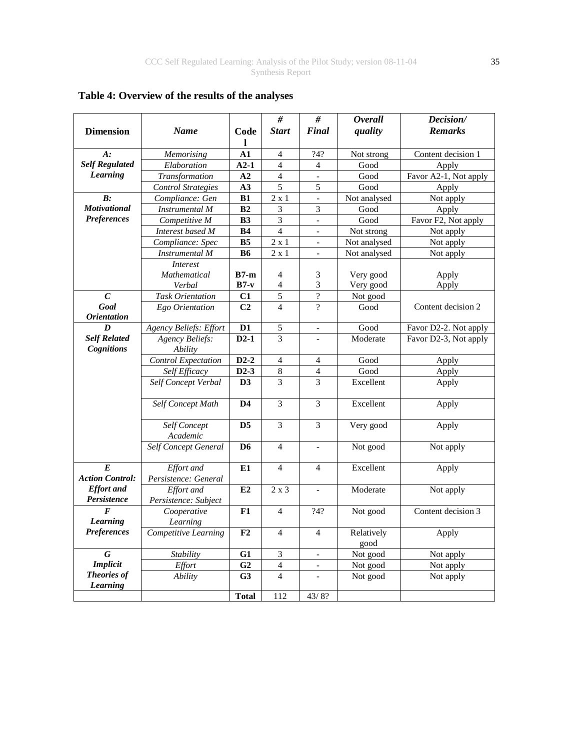|                                |                            |                | $\overline{\#}$          | #                        | <b>Overall</b> | Decision/             |  |
|--------------------------------|----------------------------|----------------|--------------------------|--------------------------|----------------|-----------------------|--|
| <b>Dimension</b>               | <b>Name</b>                | Code           | <b>Start</b>             | Final                    | quality        | <b>Remarks</b>        |  |
|                                |                            | 1              |                          |                          |                |                       |  |
| A:                             | Memorising                 | $\mathbf{A1}$  | 4                        | ?4?                      | Not strong     | Content decision 1    |  |
| <b>Self Regulated</b>          | Elaboration                | $A2-1$         | $\overline{4}$           | $\overline{4}$           | Good           | Apply                 |  |
| <b>Learning</b>                | Transformation             | A2             | $\overline{4}$           |                          | Good           | Favor A2-1, Not apply |  |
|                                | <b>Control Strategies</b>  | A3             | $\overline{5}$           | 5                        | Good           | Apply                 |  |
| $\boldsymbol{B}$ :             | Compliance: Gen            | <b>B1</b>      | $2 \times 1$             | $\overline{\phantom{a}}$ | Not analysed   | Not apply             |  |
| <b>Motivational</b>            | <b>Instrumental M</b>      | B2             | 3                        | 3                        | Good           | Apply                 |  |
| <b>Preferences</b>             | Competitive M              | <b>B3</b>      | 3                        | $\blacksquare$           | Good           | Favor F2, Not apply   |  |
|                                | Interest based M           | <b>B4</b>      | $\overline{4}$           | $\overline{\phantom{a}}$ | Not strong     | Not apply             |  |
|                                | Compliance: Spec           | B <sub>5</sub> | $2 \times 1$             |                          | Not analysed   | Not apply             |  |
|                                | <b>Instrumental M</b>      | <b>B6</b>      | $2 \times 1$             | $\mathbf{r}$             | Not analysed   | Not apply             |  |
|                                | <b>Interest</b>            |                |                          |                          |                |                       |  |
|                                | Mathematical               | $B7-m$         | 4                        | $\mathfrak{Z}$           | Very good      | Apply                 |  |
|                                | Verbal                     | $B7-v$         | 4                        | 3                        | Very good      | Apply                 |  |
| $\mathcal{C}_{0}^{0}$          | <b>Task Orientation</b>    | C <sub>1</sub> | 5                        | $\overline{?}$           | Not good       |                       |  |
| Goal                           | Ego Orientation            | C <sub>2</sub> | $\overline{4}$           | $\gamma$                 | Good           | Content decision 2    |  |
| <i><b>Orientation</b></i>      |                            |                |                          |                          |                |                       |  |
| D                              | Agency Beliefs: Effort     | D1             | $\sqrt{5}$               | $\overline{\phantom{a}}$ | Good           | Favor D2-2. Not apply |  |
| <b>Self Related</b>            | Agency Beliefs:            | $D2-1$         | $\overline{3}$           | $\overline{a}$           | Moderate       | Favor D2-3, Not apply |  |
| <b>Cognitions</b>              | Ability                    |                |                          |                          |                |                       |  |
|                                | <b>Control Expectation</b> | $D2-2$         | $\overline{4}$           | $\overline{\mathcal{L}}$ | Good           | Apply                 |  |
|                                | Self Efficacy              | $D2-3$         | $\,8\,$                  | $\overline{4}$           | Good           | Apply                 |  |
|                                | Self Concept Verbal        | D <sub>3</sub> | 3                        | 3                        | Excellent      | Apply                 |  |
|                                |                            |                |                          |                          |                |                       |  |
|                                | Self Concept Math          | D <sub>4</sub> | 3                        | 3                        | Excellent      | Apply                 |  |
|                                | <b>Self Concept</b>        | D <sub>5</sub> | 3                        | 3                        | Very good      | Apply                 |  |
|                                | Academic                   |                |                          |                          |                |                       |  |
|                                | Self Concept General       | D6             | $\overline{4}$           | $\overline{\phantom{a}}$ | Not good       | Not apply             |  |
| $\boldsymbol{E}$               | Effort and                 | E <sub>1</sub> | $\overline{4}$           | $\overline{4}$           | Excellent      | Apply                 |  |
| <b>Action Control:</b>         | Persistence: General       |                |                          |                          |                |                       |  |
| <b>Effort</b> and              | Effort and                 | E2             | $2 \times 3$             | $\overline{a}$           | Moderate       | Not apply             |  |
| <b>Persistence</b>             | Persistence: Subject       |                |                          |                          |                |                       |  |
| $\boldsymbol{F}$               | Cooperative                | F1             | $\overline{4}$           | ?4?                      | Not good       | Content decision 3    |  |
| Learning                       | Learning                   |                |                          |                          |                |                       |  |
| <b>Preferences</b>             | Competitive Learning       | F <sub>2</sub> | $\overline{4}$           | $\overline{4}$           | Relatively     | Apply                 |  |
|                                |                            |                |                          |                          | good           |                       |  |
| G                              | Stability                  | G1             | 3                        | $\overline{a}$           | Not good       | Not apply             |  |
| <b>Implicit</b>                | Effort                     | G <sub>2</sub> | $\overline{\mathcal{L}}$ | $\blacksquare$           | Not good       | Not apply             |  |
| <b>Theories of</b><br>Learning | <b>Ability</b>             | G <sub>3</sub> | $\overline{4}$           | $\overline{\phantom{a}}$ | Not good       | Not apply             |  |
|                                |                            | <b>Total</b>   | 112                      | 43/8?                    |                |                       |  |

# **Table 4: Overview of the results of the analyses**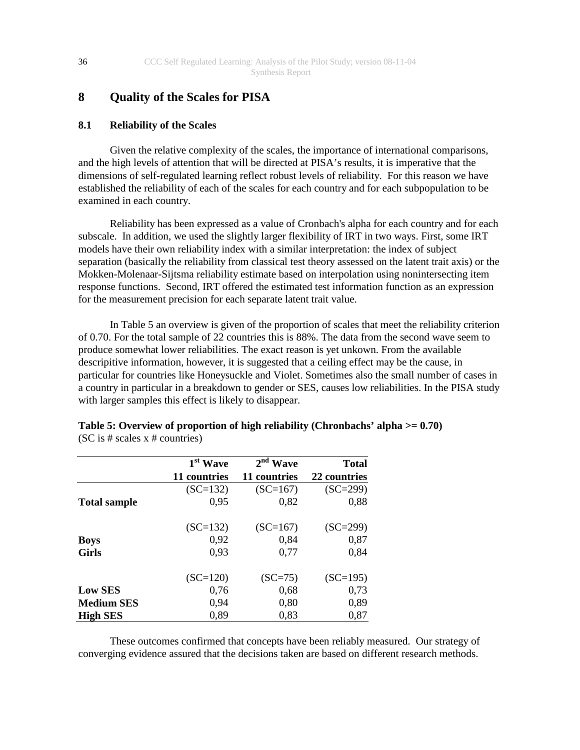# **8 Quality of the Scales for PISA**

#### **8.1 Reliability of the Scales**

Given the relative complexity of the scales, the importance of international comparisons, and the high levels of attention that will be directed at PISA's results, it is imperative that the dimensions of self-regulated learning reflect robust levels of reliability. For this reason we have established the reliability of each of the scales for each country and for each subpopulation to be examined in each country.

Reliability has been expressed as a value of Cronbach's alpha for each country and for each subscale. In addition, we used the slightly larger flexibility of IRT in two ways. First, some IRT models have their own reliability index with a similar interpretation: the index of subject separation (basically the reliability from classical test theory assessed on the latent trait axis) or the Mokken-Molenaar-Sijtsma reliability estimate based on interpolation using nonintersecting item response functions. Second, IRT offered the estimated test information function as an expression for the measurement precision for each separate latent trait value.

In Table 5 an overview is given of the proportion of scales that meet the reliability criterion of 0.70. For the total sample of 22 countries this is 88%. The data from the second wave seem to produce somewhat lower reliabilities. The exact reason is yet unkown. From the available descripitive information, however, it is suggested that a ceiling effect may be the cause, in particular for countries like Honeysuckle and Violet. Sometimes also the small number of cases in a country in particular in a breakdown to gender or SES, causes low reliabilities. In the PISA study with larger samples this effect is likely to disappear.

|                     | 1 <sup>st</sup> Wave | 2 <sup>nd</sup> Wave | <b>Total</b> |
|---------------------|----------------------|----------------------|--------------|
|                     | 11 countries         | 11 countries         | 22 countries |
|                     | $(SC=132)$           | $(SC=167)$           | $(SC=299)$   |
| <b>Total sample</b> | 0,95                 | 0.82                 | 0,88         |
|                     | $(SC=132)$           | $(SC=167)$           | $(SC=299)$   |
| <b>Boys</b>         | 0,92                 | 0,84                 | 0,87         |
| <b>Girls</b>        | 0,93                 | 0,77                 | 0,84         |
|                     | $(SC=120)$           | $SC = 75$            | $SC=195$     |
| <b>Low SES</b>      | 0.76                 | 0,68                 | 0,73         |
| <b>Medium SES</b>   | 0,94                 | 0,80                 | 0,89         |
| <b>High SES</b>     | 0,89                 | 0,83                 | 0,87         |

**Table 5: Overview of proportion of high reliability (Chronbachs' alpha >= 0.70)**  (SC is # scales x # countries)

These outcomes confirmed that concepts have been reliably measured. Our strategy of converging evidence assured that the decisions taken are based on different research methods.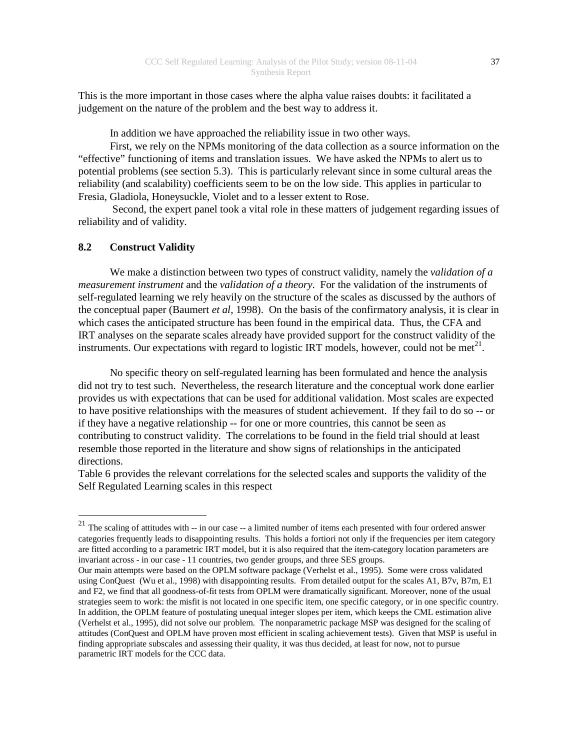This is the more important in those cases where the alpha value raises doubts: it facilitated a judgement on the nature of the problem and the best way to address it.

In addition we have approached the reliability issue in two other ways.

First, we rely on the NPMs monitoring of the data collection as a source information on the "effective" functioning of items and translation issues. We have asked the NPMs to alert us to potential problems (see section 5.3). This is particularly relevant since in some cultural areas the reliability (and scalability) coefficients seem to be on the low side. This applies in particular to Fresia, Gladiola, Honeysuckle, Violet and to a lesser extent to Rose.

 Second, the expert panel took a vital role in these matters of judgement regarding issues of reliability and of validity.

#### **8.2 Construct Validity**

 $\ddot{\phantom{a}}$ 

We make a distinction between two types of construct validity, namely the *validation of a measurement instrument* and the *validation of a theory*. For the validation of the instruments of self-regulated learning we rely heavily on the structure of the scales as discussed by the authors of the conceptual paper (Baumert *et al*, 1998). On the basis of the confirmatory analysis, it is clear in which cases the anticipated structure has been found in the empirical data. Thus, the CFA and IRT analyses on the separate scales already have provided support for the construct validity of the instruments. Our expectations with regard to logistic IRT models, however, could not be met $^{21}$ .

No specific theory on self-regulated learning has been formulated and hence the analysis did not try to test such. Nevertheless, the research literature and the conceptual work done earlier provides us with expectations that can be used for additional validation. Most scales are expected to have positive relationships with the measures of student achievement. If they fail to do so -- or if they have a negative relationship -- for one or more countries, this cannot be seen as contributing to construct validity. The correlations to be found in the field trial should at least resemble those reported in the literature and show signs of relationships in the anticipated directions.

Table 6 provides the relevant correlations for the selected scales and supports the validity of the Self Regulated Learning scales in this respect

 $21$  The scaling of attitudes with  $-$  in our case  $-$  a limited number of items each presented with four ordered answer categories frequently leads to disappointing results. This holds a fortiori not only if the frequencies per item category are fitted according to a parametric IRT model, but it is also required that the item-category location parameters are invariant across - in our case - 11 countries, two gender groups, and three SES groups.

Our main attempts were based on the OPLM software package (Verhelst et al., 1995). Some were cross validated using ConQuest (Wu et al., 1998) with disappointing results. From detailed output for the scales A1, B7v, B7m, E1 and F2, we find that all goodness-of-fit tests from OPLM were dramatically significant. Moreover, none of the usual strategies seem to work: the misfit is not located in one specific item, one specific category, or in one specific country. In addition, the OPLM feature of postulating unequal integer slopes per item, which keeps the CML estimation alive (Verhelst et al., 1995), did not solve our problem. The nonparametric package MSP was designed for the scaling of attitudes (ConQuest and OPLM have proven most efficient in scaling achievement tests). Given that MSP is useful in finding appropriate subscales and assessing their quality, it was thus decided, at least for now, not to pursue parametric IRT models for the CCC data.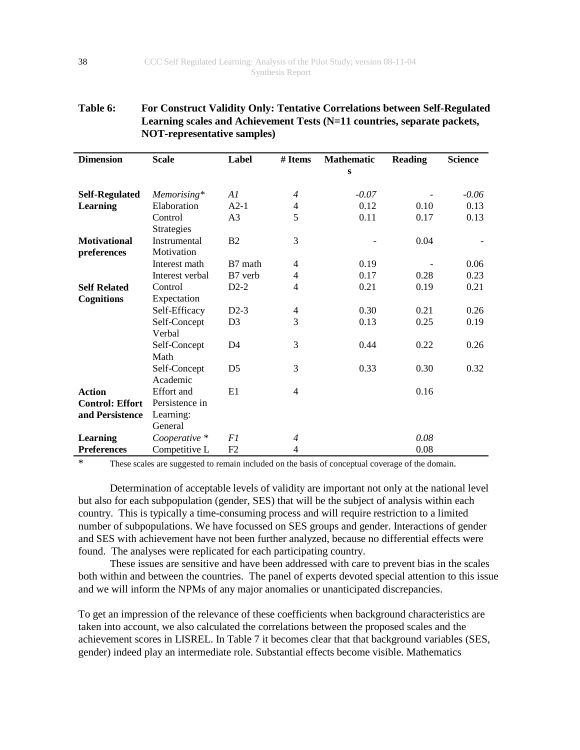#### **Table 6: For Construct Validity Only: Tentative Correlations between Self-Regulated Learning scales and Achievement Tests (N=11 countries, separate packets, NOT-representative samples)**

| <b>Dimension</b>                   | <b>Scale</b>                 | Label          | # Items        | <b>Mathematic</b> | <b>Reading</b> | <b>Science</b> |
|------------------------------------|------------------------------|----------------|----------------|-------------------|----------------|----------------|
|                                    |                              |                |                | s                 |                |                |
| <b>Self-Regulated</b>              | Memorising*                  | A1             | 4              | $-0.07$           |                | $-0.06$        |
| <b>Learning</b>                    | Elaboration                  | $A2-1$         | $\overline{4}$ | 0.12              | 0.10           | 0.13           |
|                                    | Control<br><b>Strategies</b> | A <sub>3</sub> | 5              | 0.11              | 0.17           | 0.13           |
| <b>Motivational</b><br>preferences | Instrumental<br>Motivation   | B <sub>2</sub> | 3              |                   | 0.04           |                |
|                                    | Interest math                | B7 math        | 4              | 0.19              |                | 0.06           |
|                                    | Interest verbal              | B7 verb        | $\overline{4}$ | 0.17              | 0.28           | 0.23           |
| <b>Self Related</b>                | Control                      | $D2-2$         | 4              | 0.21              | 0.19           | 0.21           |
| <b>Cognitions</b>                  | Expectation                  |                |                |                   |                |                |
|                                    | Self-Efficacy                | $D2-3$         | $\overline{4}$ | 0.30              | 0.21           | 0.26           |
|                                    | Self-Concept<br>Verbal       | D <sub>3</sub> | 3              | 0.13              | 0.25           | 0.19           |
|                                    | Self-Concept<br>Math         | D4             | 3              | 0.44              | 0.22           | 0.26           |
|                                    | Self-Concept<br>Academic     | D <sub>5</sub> | 3              | 0.33              | 0.30           | 0.32           |
| <b>Action</b>                      | Effort and                   | E1             | 4              |                   | 0.16           |                |
| <b>Control: Effort</b>             | Persistence in               |                |                |                   |                |                |
| and Persistence                    | Learning:<br>General         |                |                |                   |                |                |
| <b>Learning</b>                    | Cooperative *                | F1             | 4              |                   | 0.08           |                |
| <b>Preferences</b>                 | Competitive L                | F2             | 4              |                   | 0.08           |                |

\* These scales are suggested to remain included on the basis of conceptual coverage of the domain.

Determination of acceptable levels of validity are important not only at the national level but also for each subpopulation (gender, SES) that will be the subject of analysis within each country. This is typically a time-consuming process and will require restriction to a limited number of subpopulations. We have focussed on SES groups and gender. Interactions of gender and SES with achievement have not been further analyzed, because no differential effects were found. The analyses were replicated for each participating country.

These issues are sensitive and have been addressed with care to prevent bias in the scales both within and between the countries. The panel of experts devoted special attention to this issue and we will inform the NPMs of any major anomalies or unanticipated discrepancies.

To get an impression of the relevance of these coefficients when background characteristics are taken into account, we also calculated the correlations between the proposed scales and the achievement scores in LISREL. In Table 7 it becomes clear that that background variables (SES, gender) indeed play an intermediate role. Substantial effects become visible. Mathematics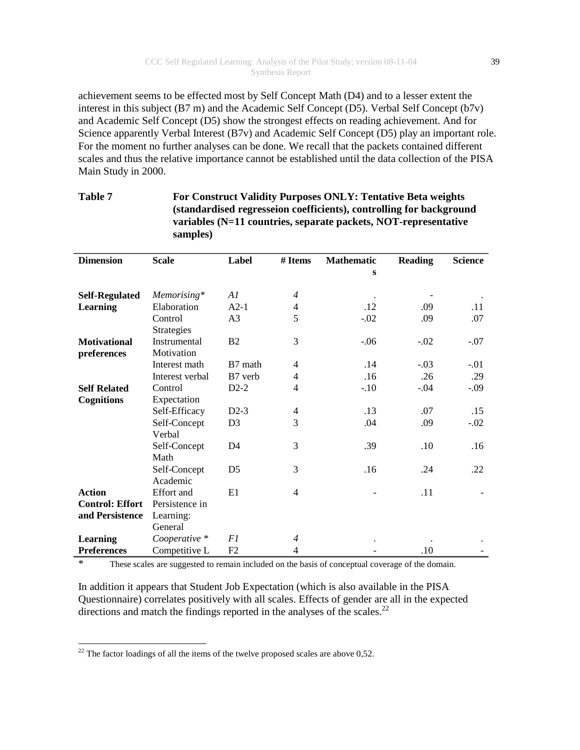achievement seems to be effected most by Self Concept Math (D4) and to a lesser extent the interest in this subject (B7 m) and the Academic Self Concept (D5). Verbal Self Concept (b7v) and Academic Self Concept (D5) show the strongest effects on reading achievement. And for Science apparently Verbal Interest (B7v) and Academic Self Concept (D5) play an important role. For the moment no further analyses can be done. We recall that the packets contained different scales and thus the relative importance cannot be established until the data collection of the PISA Main Study in 2000.

|                        | $50 \mu \mathrm{mpc}$ |                |                |                   |                |                |
|------------------------|-----------------------|----------------|----------------|-------------------|----------------|----------------|
| <b>Dimension</b>       | <b>Scale</b>          | Label          | # Items        | <b>Mathematic</b> | <b>Reading</b> | <b>Science</b> |
|                        |                       |                |                | S                 |                |                |
|                        |                       |                |                |                   |                |                |
| <b>Self-Regulated</b>  | Memorising*           | A1             | $\overline{4}$ |                   |                |                |
| <b>Learning</b>        | Elaboration           | $A2-1$         | 4              | .12               | .09            | .11            |
|                        | Control               | A <sub>3</sub> | 5              | $-.02$            | .09            | .07            |
|                        | Strategies            |                |                |                   |                |                |
| <b>Motivational</b>    | <b>Instrumental</b>   | B2             | 3              | $-0.06$           | $-.02$         | $-.07$         |
| preferences            | Motivation            |                |                |                   |                |                |
|                        | Interest math         | B7 math        | 4              | .14               | $-.03$         | $-.01$         |
|                        | Interest verbal       | B7 verb        | 4              | .16               | .26            | .29            |
| <b>Self Related</b>    | Control               | $D2-2$         | 4              | $-.10$            | $-.04$         | $-.09$         |
| <b>Cognitions</b>      | Expectation           |                |                |                   |                |                |
|                        | Self-Efficacy         | $D2-3$         | 4              | .13               | .07            | .15            |
|                        | Self-Concept          | D <sub>3</sub> | 3              | .04               | .09            | $-.02$         |
|                        | Verbal                |                |                |                   |                |                |
|                        | Self-Concept          | D <sub>4</sub> | 3              | .39               | .10            | .16            |
|                        | Math                  |                |                |                   |                |                |
|                        | Self-Concept          | D <sub>5</sub> | 3              | .16               | .24            | .22            |
|                        | Academic              |                |                |                   |                |                |
| <b>Action</b>          | Effort and            | E1             | $\overline{4}$ |                   | .11            |                |
| <b>Control: Effort</b> | Persistence in        |                |                |                   |                |                |
| and Persistence        | Learning:             |                |                |                   |                |                |
|                        | General               |                |                |                   |                |                |
| <b>Learning</b>        | Cooperative *         | F1             | 4              |                   |                |                |
| <b>Preferences</b>     | Competitive L         | F2             | 4              |                   | .10            |                |

#### **Table 7 For Construct Validity Purposes ONLY: Tentative Beta weights (standardised regresseion coefficients), controlling for background variables (N=11 countries, separate packets, NOT-representative samples)**

\* These scales are suggested to remain included on the basis of conceptual coverage of the domain.

In addition it appears that Student Job Expectation (which is also available in the PISA Questionnaire) correlates positively with all scales. Effects of gender are all in the expected directions and match the findings reported in the analyses of the scales. $^{22}$ 

 $\overline{a}$ 

 $22$ <sup>22</sup> The factor loadings of all the items of the twelve proposed scales are above 0,52.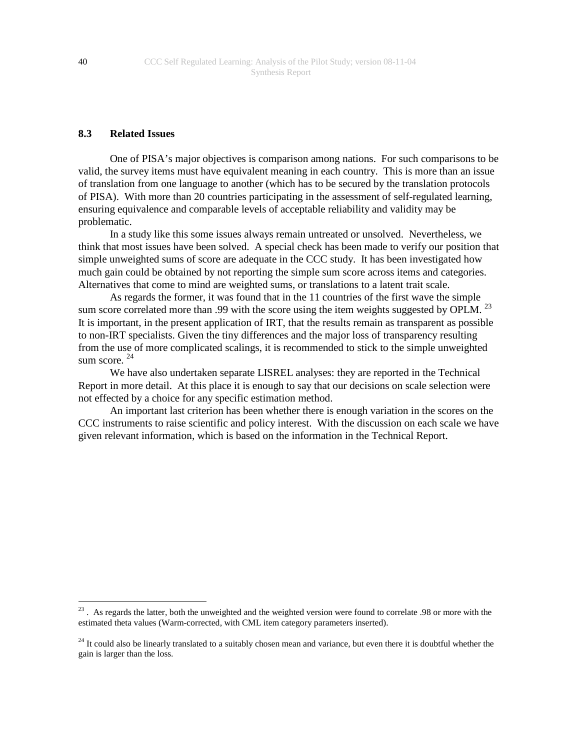#### **8.3 Related Issues**

One of PISA's major objectives is comparison among nations. For such comparisons to be valid, the survey items must have equivalent meaning in each country. This is more than an issue of translation from one language to another (which has to be secured by the translation protocols of PISA). With more than 20 countries participating in the assessment of self-regulated learning, ensuring equivalence and comparable levels of acceptable reliability and validity may be problematic.

In a study like this some issues always remain untreated or unsolved. Nevertheless, we think that most issues have been solved. A special check has been made to verify our position that simple unweighted sums of score are adequate in the CCC study. It has been investigated how much gain could be obtained by not reporting the simple sum score across items and categories. Alternatives that come to mind are weighted sums, or translations to a latent trait scale.

As regards the former, it was found that in the 11 countries of the first wave the simple sum score correlated more than .99 with the score using the item weights suggested by OPLM.<sup>23</sup> It is important, in the present application of IRT, that the results remain as transparent as possible to non-IRT specialists. Given the tiny differences and the major loss of transparency resulting from the use of more complicated scalings, it is recommended to stick to the simple unweighted sum score.<sup>24</sup>

We have also undertaken separate LISREL analyses: they are reported in the Technical Report in more detail. At this place it is enough to say that our decisions on scale selection were not effected by a choice for any specific estimation method.

An important last criterion has been whether there is enough variation in the scores on the CCC instruments to raise scientific and policy interest. With the discussion on each scale we have given relevant information, which is based on the information in the Technical Report.

 $\ddot{\phantom{a}}$ 

 $2<sup>23</sup>$ . As regards the latter, both the unweighted and the weighted version were found to correlate .98 or more with the estimated theta values (Warm-corrected, with CML item category parameters inserted).

<sup>&</sup>lt;sup>24</sup> It could also be linearly translated to a suitably chosen mean and variance, but even there it is doubtful whether the gain is larger than the loss.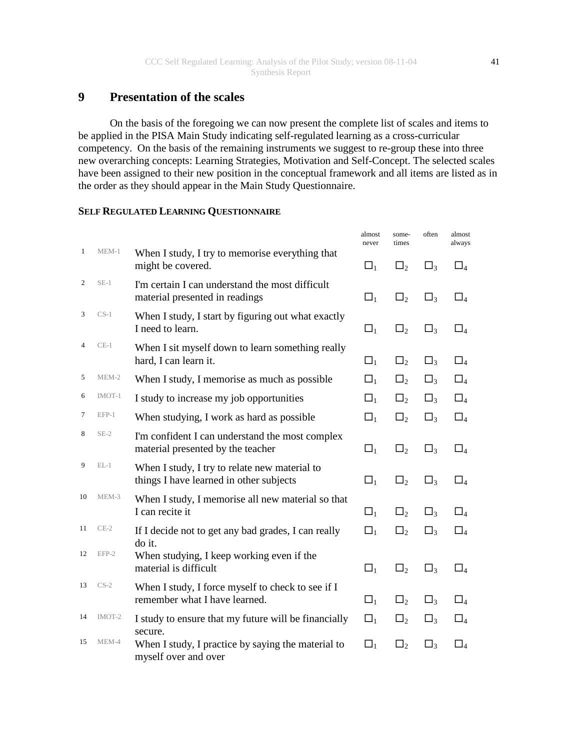# **9 Presentation of the scales**

On the basis of the foregoing we can now present the complete list of scales and items to be applied in the PISA Main Study indicating self-regulated learning as a cross-curricular competency. On the basis of the remaining instruments we suggest to re-group these into three new overarching concepts: Learning Strategies, Motivation and Self-Concept. The selected scales have been assigned to their new position in the conceptual framework and all items are listed as in the order as they should appear in the Main Study Questionnaire.

#### **SELF REGULATED LEARNING QUESTIONNAIRE**

|              |          |                                                                                          | almost<br>never | some-<br>times      | often       | almost<br>always |
|--------------|----------|------------------------------------------------------------------------------------------|-----------------|---------------------|-------------|------------------|
| $\mathbf{1}$ | $MEM-1$  | When I study, I try to memorise everything that<br>might be covered.                     | $\Box_1$        | $\Box_2$            | $\square_3$ | $\square_4$      |
| 2            | $SE-1$   | I'm certain I can understand the most difficult<br>material presented in readings        | $\Box_1$        | $\Box_2$            | $\square_3$ | $\square_4$      |
| 3            | $CS-1$   | When I study, I start by figuring out what exactly<br>I need to learn.                   | $\Box_1$        | $\Box_2$            | $\square_3$ | $\square_4$      |
| 4            | $CE-1$   | When I sit myself down to learn something really<br>hard, I can learn it.                | $\Box_1$        | $\Box_2$            | $\square_3$ | $\square_4$      |
| 5            | $MEM-2$  | When I study, I memorise as much as possible                                             | $\Box_1$        | $\Box_2$            | $\square_3$ | $\square_4$      |
| 6            | $IMOT-1$ | I study to increase my job opportunities                                                 | $\Box_1$        | $\Box_2$            | $\Box$ 3    | $\square_4$      |
| 7            | $EFP-1$  | When studying, I work as hard as possible                                                | $\Box_1$        | $\Box_2$            | $\square_3$ | $\square_4$      |
| 8            | $SE-2$   | I'm confident I can understand the most complex<br>material presented by the teacher     | $\Box_1$        | $\Box_2$            | $\square_3$ | $\square_4$      |
| 9            | $EL-1$   | When I study, I try to relate new material to<br>things I have learned in other subjects | $\Box_1$        | $\Box_2$            | $\square_3$ | $\square_4$      |
| 10           | MEM-3    | When I study, I memorise all new material so that<br>I can recite it                     | $\Box_1$        | $\Box$              | $\square_3$ | $\square_4$      |
| 11           | $CE-2$   | If I decide not to get any bad grades, I can really<br>do it.                            | $\Box_1$        | $\Box_2$            | $\square_3$ | $\square_4$      |
| 12           | EFP-2    | When studying, I keep working even if the<br>material is difficult                       | $\Box_1$        | $\Box_2$            | $\square_3$ | $\square_4$      |
| 13           | $CS-2$   | When I study, I force myself to check to see if I<br>remember what I have learned.       | $\Box_1$        | $\Box$ <sub>2</sub> | $\Box$ 3    | $\square_4$      |
| 14           | IMOT-2   | I study to ensure that my future will be financially<br>secure.                          | $\square_1$     | $\Box_2$            | $\square_3$ | $\square_4$      |
| 15           | MEM-4    | When I study, I practice by saying the material to<br>myself over and over               | $\Box_1$        | $\Box_2$            | $\square_3$ | $\square_4$      |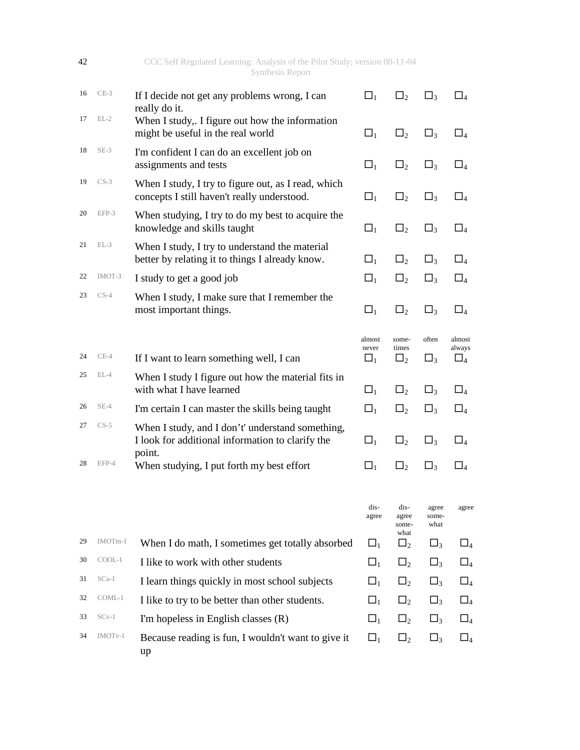| 42 |                      | CCC Self Regulated Learning: Analysis of the Pilot Study; version 08-11-04<br><b>Synthesis Report</b>          |                             |                                |                        |                                 |
|----|----------------------|----------------------------------------------------------------------------------------------------------------|-----------------------------|--------------------------------|------------------------|---------------------------------|
| 16 | $CE-3$               | If I decide not get any problems wrong, I can<br>really do it.                                                 | $\Box_1$                    | $\Box_2$                       | $\Box_3$               | $\square_4$                     |
| 17 | $EL-2$               | When I study,. I figure out how the information<br>might be useful in the real world                           | $\Box_1$                    | $\Box_2$                       | $\square_3$            | $\square_4$                     |
| 18 | $SE-3$               | I'm confident I can do an excellent job on<br>assignments and tests                                            | $\Box_1$                    | $\square_2$                    | $\square_3$            | $\square_4$                     |
| 19 | $CS-3$               | When I study, I try to figure out, as I read, which<br>concepts I still haven't really understood.             | $\Box_1$                    | $\Box_2$                       | $\square_3$            | $\square_4$                     |
| 20 | EFP-3                | When studying, I try to do my best to acquire the<br>knowledge and skills taught                               | $\Box_1$                    | $\Box_2$                       | $\Box_3$               | $\square_4$                     |
| 21 | $EL-3$               | When I study, I try to understand the material<br>better by relating it to things I already know.              | $\Box_1$                    | $\Box_2$                       | $\square_3$            | $\square_4$                     |
| 22 | IMOT-3               | I study to get a good job                                                                                      | $\Box_1$                    | $\Box_2$                       | $\Box_3$               | $\square_4$                     |
| 23 | $CS-4$               | When I study, I make sure that I remember the<br>most important things.                                        | $\square_1$                 | $\Box_2$                       | $\square_3$            | $\square_4$                     |
| 24 | $CE-4$               | If I want to learn something well, I can                                                                       | almost<br>never<br>$\Box_1$ | some-<br>times<br>$\Box_2$     | often<br>$\square_3$   | almost<br>always<br>$\square_4$ |
| 25 | $EL-4$               | When I study I figure out how the material fits in<br>with what I have learned                                 | $\Box_1$                    | $\Box_2$                       | $\square_3$            | $\square_4$                     |
| 26 | $SE-4$               | I'm certain I can master the skills being taught                                                               | $\Box_1$                    | $\Box_2$                       | $\square_3$            | $\square_4$                     |
| 27 | $CS-5$               | When I study, and I don't' understand something,<br>I look for additional information to clarify the<br>point. | $\Box_1$                    | $\Box_2$                       | $\square_3$            | $\square_4$                     |
| 28 | EFP-4                | When studying, I put forth my best effort                                                                      | $\Box_1$                    | $\square_2$                    | $\square_3$            | $\square_4$                     |
|    |                      |                                                                                                                | dis-<br>agree               | dis-<br>agree<br>some-<br>what | agree<br>some-<br>what | agree                           |
| 29 | IMOT <sub>m-1</sub>  | When I do math, I sometimes get totally absorbed                                                               | $\Box_1$                    | $\Box_2$                       | $\square_3$            | $\square_4$                     |
| 30 | $COOL-1$             | I like to work with other students                                                                             | $\Box_1$                    | $\Box_2$                       | $\square_3$            | $\square_4$                     |
| 31 | $SCa-1$              | I learn things quickly in most school subjects                                                                 | $\Box_1$                    | $\Box_2$                       | $\square_3$            | $\square_4$                     |
| 32 | COML-1               | I like to try to be better than other students.                                                                | $\Box_1$                    | $\Box_2$                       | $\square_3$            | $\square_4$                     |
| 33 | $SCv-1$              | I'm hopeless in English classes $(R)$                                                                          | $\Box_1$                    | $\square_2$                    | $\square_3$            | $\square_4$                     |
| 34 | IMOT <sub>v</sub> -1 | Because reading is fun, I wouldn't want to give it<br>up                                                       | $\Box_1$                    | $\Box_2$                       | $\square_3$            | $\square_4$                     |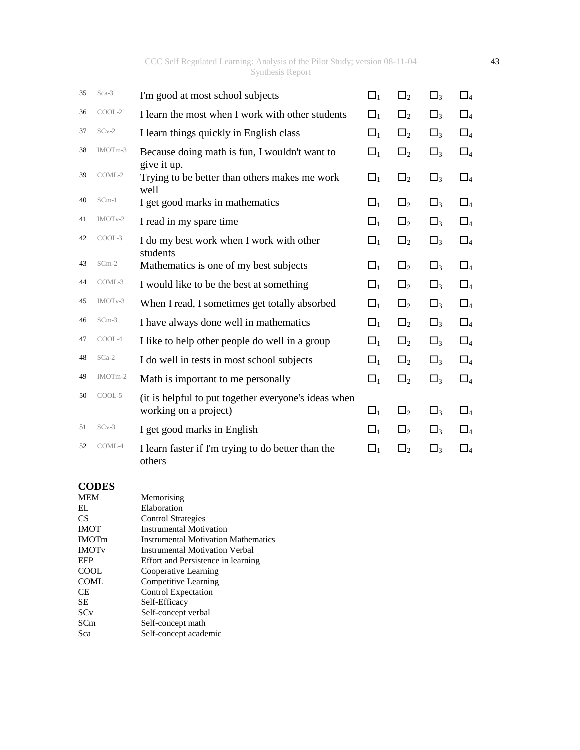| 35 | $Sca-3$              | I'm good at most school subjects                                              | $\Box_1$    | $\Box$      | $\square_3$ | $\square_4$ |
|----|----------------------|-------------------------------------------------------------------------------|-------------|-------------|-------------|-------------|
| 36 | COOL-2               | I learn the most when I work with other students                              | $\Box_1$    | $\Box_2$    | $\Box_3$    | $\square_4$ |
| 37 | $SCv-2$              | I learn things quickly in English class                                       | $\Box_1$    | $\Box_2$    | $\square_3$ | $\square_4$ |
| 38 | IMOT <sub>m-3</sub>  | Because doing math is fun, I wouldn't want to<br>give it up.                  | $\Box_1$    | $\Box_2$    | $\square_3$ | $\square_4$ |
| 39 | COML-2               | Trying to be better than others makes me work<br>well                         | $\Box_1$    | $\Box_2$    | $\square_3$ | $\square_4$ |
| 40 | $S$ Cm- $1$          | I get good marks in mathematics                                               | $\Box_1$    | $\Box_2$    | $\square_3$ | $\square_4$ |
| 41 | IMOT <sub>v</sub> -2 | I read in my spare time                                                       | $\Box_1$    | $\Box_2$    | $\square_3$ | $\square_4$ |
| 42 | COOL-3               | I do my best work when I work with other<br>students                          | $\Box_1$    | $\Box$      | $\square_3$ | $\square_4$ |
| 43 | $S$ Cm-2             | Mathematics is one of my best subjects                                        | $\Box_1$    | $\Box_2$    | $\square_3$ | $\square_4$ |
| 44 | COML-3               | I would like to be the best at something                                      | $\Box_1$    | $\Box_2$    | $\Box_3$    | $\square_4$ |
| 45 | IMOT <sub>v</sub> -3 | When I read, I sometimes get totally absorbed                                 | $\Box_1$    | $\Box$      | $\Box$ 3    | $\square_4$ |
| 46 | $SCm-3$              | I have always done well in mathematics                                        | $\Box_1$    | $\Box$      | $\square_3$ | $\square_4$ |
| 47 | COOL-4               | I like to help other people do well in a group                                | $\Box_1$    | $\Box_2$    | $\square_3$ | $\square_4$ |
| 48 | $SCa-2$              | I do well in tests in most school subjects                                    | $\Box_1$    | $\Box_2$    | $\square_3$ | $\square_4$ |
| 49 | IMOT <sub>m-2</sub>  | Math is important to me personally                                            | $\Box_1$    | $\Box_2$    | $\square_3$ | $\square_4$ |
| 50 | COOL-5               | (it is helpful to put together everyone's ideas when<br>working on a project) | $\Box_1$    | $\Box_2$    | $\square_3$ | $\square_4$ |
| 51 | $SCv-3$              | I get good marks in English                                                   | $\Box_1$    | $\square_2$ | $\Box$ 3    | $\square_4$ |
| 52 | COML-4               | I learn faster if I'm trying to do better than the<br>others                  | $\square_1$ | $\Box_2$    | $\square_3$ | $\square_4$ |

# **CODES**

| <b>MEM</b>               | Memorising                                 |
|--------------------------|--------------------------------------------|
| EL.                      | Elaboration                                |
| <b>CS</b>                | <b>Control Strategies</b>                  |
| <b>IMOT</b>              | <b>Instrumental Motivation</b>             |
| <b>IMOTm</b>             | <b>Instrumental Motivation Mathematics</b> |
| <b>IMOT</b> <sub>v</sub> | <b>Instrumental Motivation Verbal</b>      |
| EFP                      | Effort and Persistence in learning         |
| COOL                     | Cooperative Learning                       |
| COML                     | Competitive Learning                       |
| СE                       | <b>Control Expectation</b>                 |
| SЕ                       | Self-Efficacy                              |
| SC <sub>v</sub>          | Self-concept verbal                        |
| SCm                      | Self-concept math                          |
| Sca                      | Self-concept academic                      |
|                          |                                            |